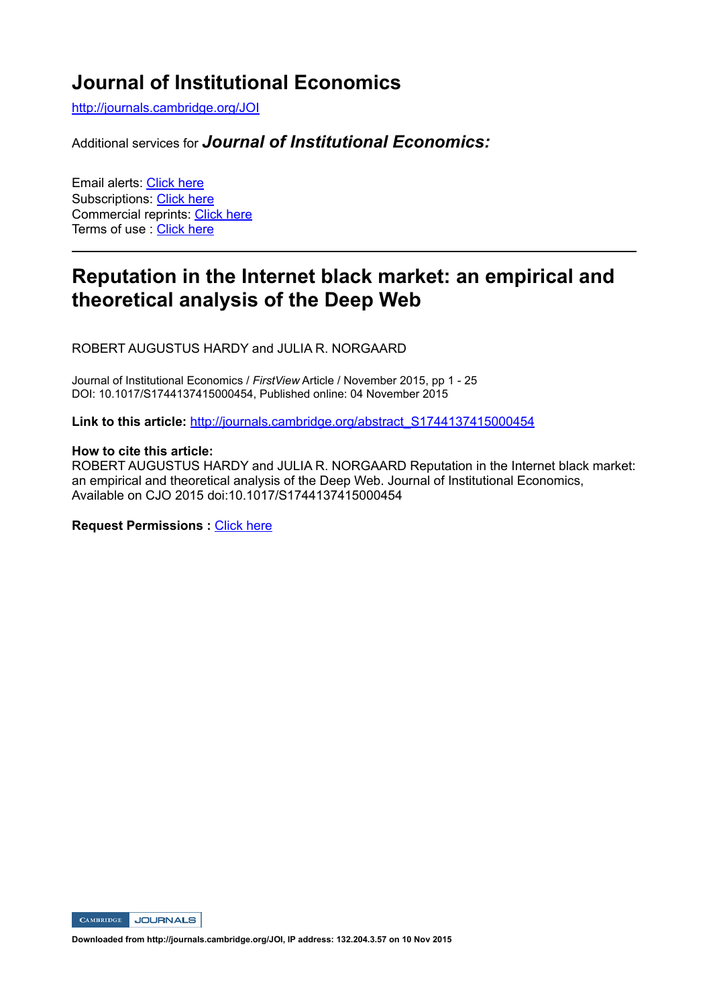# **Journal of Institutional Economics**

http://journals.cambridge.org/JOI

Additional services for *Journal of Institutional Economics:*

Email alerts: Click here Subscriptions: Click here Commercial reprints: Click here Terms of use : Click here

## **Reputation in the Internet black market: an empirical and theoretical analysis of the Deep Web**

ROBERT AUGUSTUS HARDY and JULIA R. NORGAARD

Journal of Institutional Economics / *FirstView* Article / November 2015, pp 1 - 25 DOI: 10.1017/S1744137415000454, Published online: 04 November 2015

**Link to this article:** http://journals.cambridge.org/abstract\_S1744137415000454

#### **How to cite this article:**

ROBERT AUGUSTUS HARDY and JULIA R. NORGAARD Reputation in the Internet black market: an empirical and theoretical analysis of the Deep Web. Journal of Institutional Economics, Available on CJO 2015 doi:10.1017/S1744137415000454

**Request Permissions :** Click here

CAMBRIDGE JOURNALS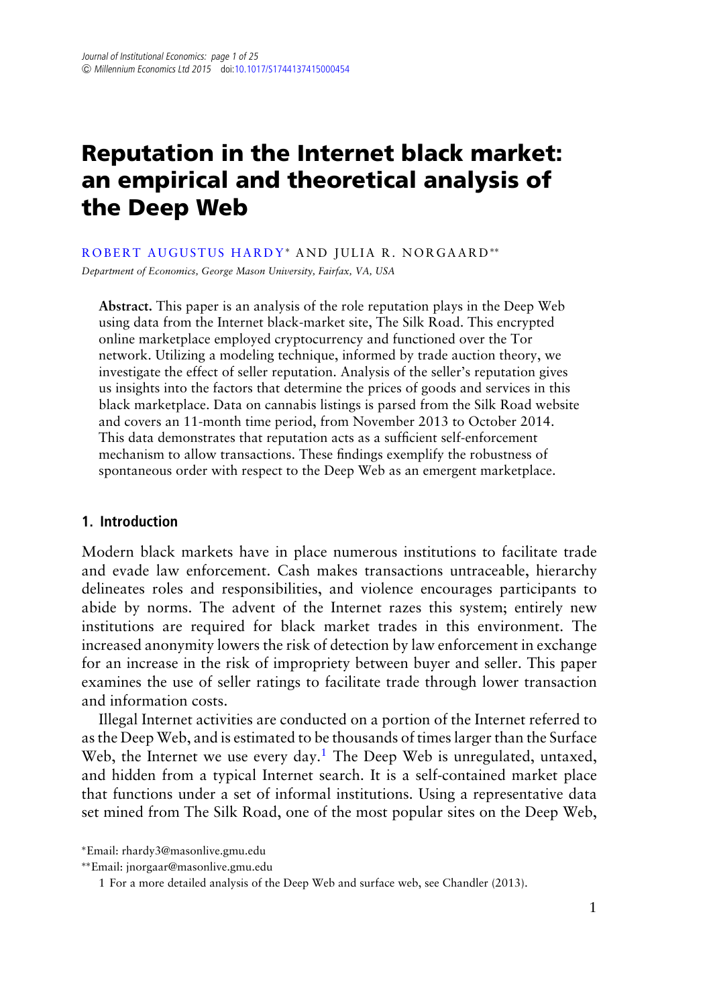# **Reputation in the Internet black market: an empirical and theoretical analysis of the Deep Web**

[ROBERT AUGUSTUS HARDY](http://orcid.org/0000-0003-0764-7395)<sup>∗</sup> AND JULIA R. NORGAARD∗∗

*Department of Economics, George Mason University, Fairfax, VA, USA*

**Abstract.** This paper is an analysis of the role reputation plays in the Deep Web using data from the Internet black-market site, The Silk Road. This encrypted online marketplace employed cryptocurrency and functioned over the Tor network. Utilizing a modeling technique, informed by trade auction theory, we investigate the effect of seller reputation. Analysis of the seller's reputation gives us insights into the factors that determine the prices of goods and services in this black marketplace. Data on cannabis listings is parsed from the Silk Road website and covers an 11-month time period, from November 2013 to October 2014. This data demonstrates that reputation acts as a sufficient self-enforcement mechanism to allow transactions. These findings exemplify the robustness of spontaneous order with respect to the Deep Web as an emergent marketplace.

#### **1. Introduction**

Modern black markets have in place numerous institutions to facilitate trade and evade law enforcement. Cash makes transactions untraceable, hierarchy delineates roles and responsibilities, and violence encourages participants to abide by norms. The advent of the Internet razes this system; entirely new institutions are required for black market trades in this environment. The increased anonymity lowers the risk of detection by law enforcement in exchange for an increase in the risk of impropriety between buyer and seller. This paper examines the use of seller ratings to facilitate trade through lower transaction and information costs.

Illegal Internet activities are conducted on a portion of the Internet referred to as the Deep Web, and is estimated to be thousands of times larger than the Surface Web, the Internet we use every day.<sup>1</sup> The Deep Web is unregulated, untaxed, and hidden from a typical Internet search. It is a self-contained market place that functions under a set of informal institutions. Using a representative data set mined from The Silk Road, one of the most popular sites on the Deep Web,

<sup>∗</sup>Email: rhardy3@masonlive.gmu.edu

<sup>∗∗</sup>Email: jnorgaar@masonlive.gmu.edu

<sup>1</sup> For a more detailed analysis of the Deep Web and surface web, see Chandler (2013).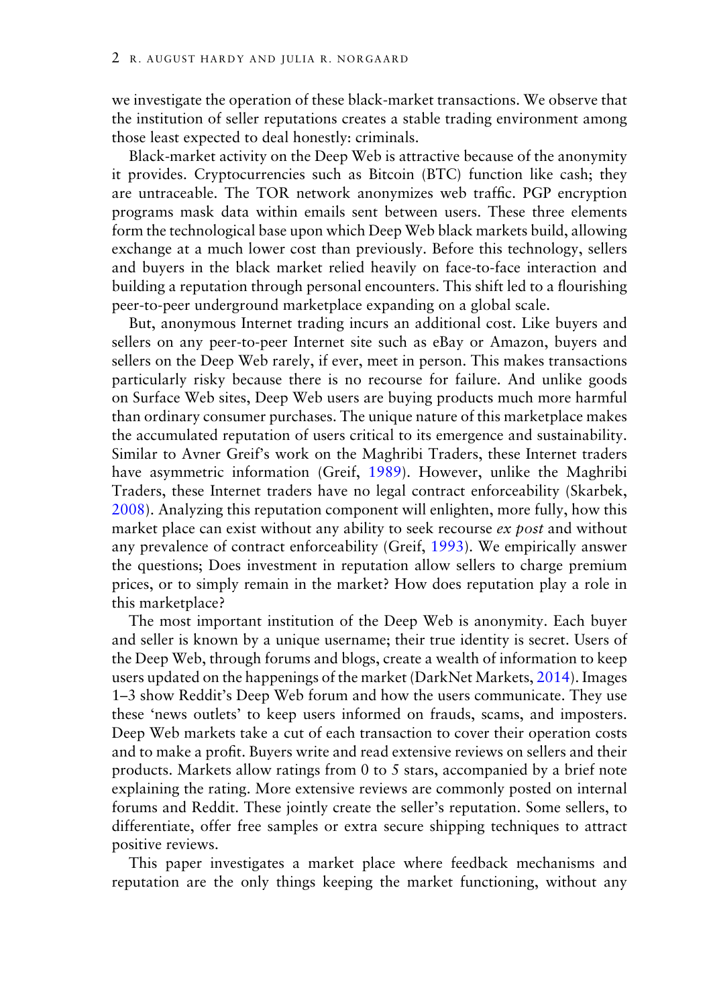we investigate the operation of these black-market transactions. We observe that the institution of seller reputations creates a stable trading environment among those least expected to deal honestly: criminals.

Black-market activity on the Deep Web is attractive because of the anonymity it provides. Cryptocurrencies such as Bitcoin (BTC) function like cash; they are untraceable. The TOR network anonymizes web traffic. PGP encryption programs mask data within emails sent between users. These three elements form the technological base upon which Deep Web black markets build, allowing exchange at a much lower cost than previously. Before this technology, sellers and buyers in the black market relied heavily on face-to-face interaction and building a reputation through personal encounters. This shift led to a flourishing peer-to-peer underground marketplace expanding on a global scale.

But, anonymous Internet trading incurs an additional cost. Like buyers and sellers on any peer-to-peer Internet site such as eBay or Amazon, buyers and sellers on the Deep Web rarely, if ever, meet in person. This makes transactions particularly risky because there is no recourse for failure. And unlike goods on Surface Web sites, Deep Web users are buying products much more harmful than ordinary consumer purchases. The unique nature of this marketplace makes the accumulated reputation of users critical to its emergence and sustainability. Similar to Avner Greif's work on the Maghribi Traders, these Internet traders have asymmetric information (Greif, 1989). However, unlike the Maghribi Traders, these Internet traders have no legal contract enforceability (Skarbek, 2008). Analyzing this reputation component will enlighten, more fully, how this market place can exist without any ability to seek recourse *ex post* and without any prevalence of contract enforceability (Greif, 1993). We empirically answer the questions; Does investment in reputation allow sellers to charge premium prices, or to simply remain in the market? How does reputation play a role in this marketplace?

The most important institution of the Deep Web is anonymity. Each buyer and seller is known by a unique username; their true identity is secret. Users of the Deep Web, through forums and blogs, create a wealth of information to keep users updated on the happenings of the market (DarkNet Markets, 2014). Images 1–3 show Reddit's Deep Web forum and how the users communicate. They use these 'news outlets' to keep users informed on frauds, scams, and imposters. Deep Web markets take a cut of each transaction to cover their operation costs and to make a profit. Buyers write and read extensive reviews on sellers and their products. Markets allow ratings from 0 to 5 stars, accompanied by a brief note explaining the rating. More extensive reviews are commonly posted on internal forums and Reddit. These jointly create the seller's reputation. Some sellers, to differentiate, offer free samples or extra secure shipping techniques to attract positive reviews.

This paper investigates a market place where feedback mechanisms and reputation are the only things keeping the market functioning, without any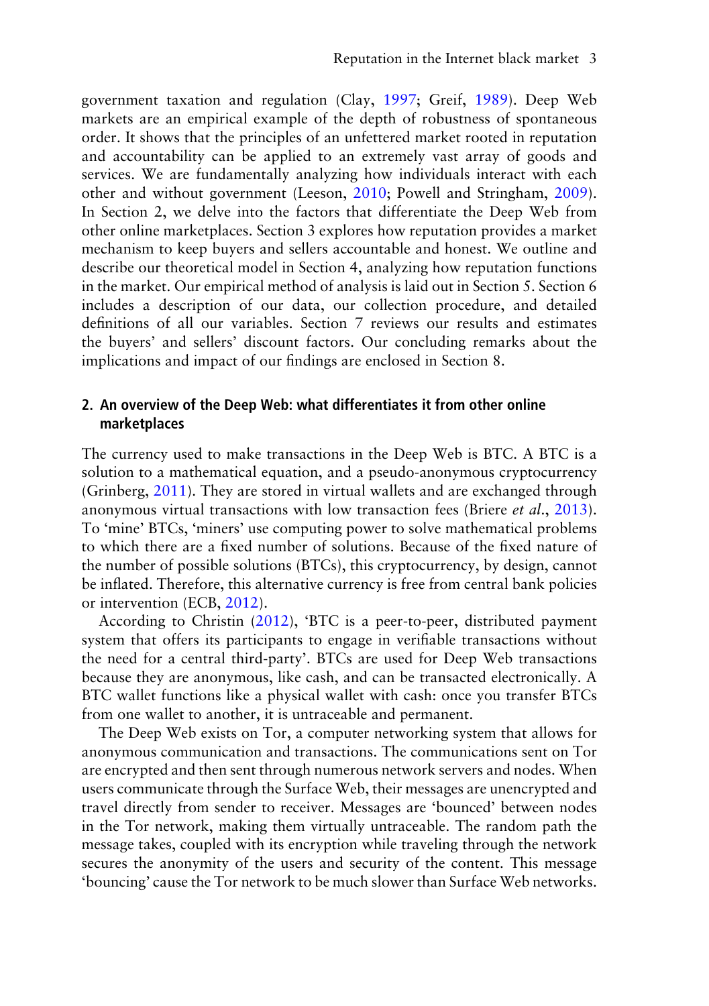government taxation and regulation (Clay, 1997; Greif, 1989). Deep Web markets are an empirical example of the depth of robustness of spontaneous order. It shows that the principles of an unfettered market rooted in reputation and accountability can be applied to an extremely vast array of goods and services. We are fundamentally analyzing how individuals interact with each other and without government (Leeson, 2010; Powell and Stringham, 2009). In Section 2, we delve into the factors that differentiate the Deep Web from other online marketplaces. Section 3 explores how reputation provides a market mechanism to keep buyers and sellers accountable and honest. We outline and describe our theoretical model in Section 4, analyzing how reputation functions in the market. Our empirical method of analysis is laid out in Section 5. Section 6 includes a description of our data, our collection procedure, and detailed definitions of all our variables. Section 7 reviews our results and estimates the buyers' and sellers' discount factors. Our concluding remarks about the implications and impact of our findings are enclosed in Section 8.

### **2. An overview of the Deep Web: what differentiates it from other online marketplaces**

The currency used to make transactions in the Deep Web is BTC. A BTC is a solution to a mathematical equation, and a pseudo-anonymous cryptocurrency (Grinberg, 2011). They are stored in virtual wallets and are exchanged through anonymous virtual transactions with low transaction fees (Briere *et al*., 2013). To 'mine' BTCs, 'miners' use computing power to solve mathematical problems to which there are a fixed number of solutions. Because of the fixed nature of the number of possible solutions (BTCs), this cryptocurrency, by design, cannot be inflated. Therefore, this alternative currency is free from central bank policies or intervention (ECB, 2012).

According to Christin (2012), 'BTC is a peer-to-peer, distributed payment system that offers its participants to engage in verifiable transactions without the need for a central third-party'. BTCs are used for Deep Web transactions because they are anonymous, like cash, and can be transacted electronically. A BTC wallet functions like a physical wallet with cash: once you transfer BTCs from one wallet to another, it is untraceable and permanent.

The Deep Web exists on Tor, a computer networking system that allows for anonymous communication and transactions. The communications sent on Tor are encrypted and then sent through numerous network servers and nodes. When users communicate through the Surface Web, their messages are unencrypted and travel directly from sender to receiver. Messages are 'bounced' between nodes in the Tor network, making them virtually untraceable. The random path the message takes, coupled with its encryption while traveling through the network secures the anonymity of the users and security of the content. This message 'bouncing' cause the Tor network to be much slower than Surface Web networks.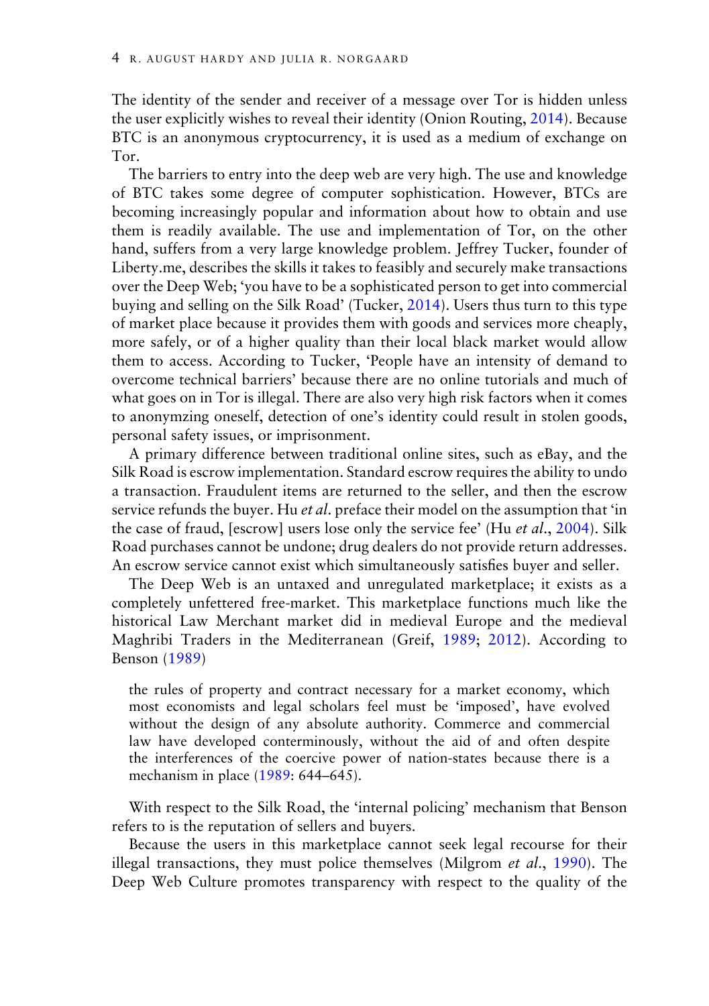The identity of the sender and receiver of a message over Tor is hidden unless the user explicitly wishes to reveal their identity (Onion Routing, 2014). Because BTC is an anonymous cryptocurrency, it is used as a medium of exchange on Tor.

The barriers to entry into the deep web are very high. The use and knowledge of BTC takes some degree of computer sophistication. However, BTCs are becoming increasingly popular and information about how to obtain and use them is readily available. The use and implementation of Tor, on the other hand, suffers from a very large knowledge problem. Jeffrey Tucker, founder of Liberty.me, describes the skills it takes to feasibly and securely make transactions over the Deep Web; 'you have to be a sophisticated person to get into commercial buying and selling on the Silk Road' (Tucker, 2014). Users thus turn to this type of market place because it provides them with goods and services more cheaply, more safely, or of a higher quality than their local black market would allow them to access. According to Tucker, 'People have an intensity of demand to overcome technical barriers' because there are no online tutorials and much of what goes on in Tor is illegal. There are also very high risk factors when it comes to anonymzing oneself, detection of one's identity could result in stolen goods, personal safety issues, or imprisonment.

A primary difference between traditional online sites, such as eBay, and the Silk Road is escrow implementation. Standard escrow requires the ability to undo a transaction. Fraudulent items are returned to the seller, and then the escrow service refunds the buyer. Hu *et al*. preface their model on the assumption that 'in the case of fraud, [escrow] users lose only the service fee' (Hu *et al*., 2004). Silk Road purchases cannot be undone; drug dealers do not provide return addresses. An escrow service cannot exist which simultaneously satisfies buyer and seller.

The Deep Web is an untaxed and unregulated marketplace; it exists as a completely unfettered free-market. This marketplace functions much like the historical Law Merchant market did in medieval Europe and the medieval Maghribi Traders in the Mediterranean (Greif, 1989; 2012). According to Benson (1989)

the rules of property and contract necessary for a market economy, which most economists and legal scholars feel must be 'imposed', have evolved without the design of any absolute authority. Commerce and commercial law have developed conterminously, without the aid of and often despite the interferences of the coercive power of nation-states because there is a mechanism in place (1989: 644–645).

With respect to the Silk Road, the 'internal policing' mechanism that Benson refers to is the reputation of sellers and buyers.

Because the users in this marketplace cannot seek legal recourse for their illegal transactions, they must police themselves (Milgrom *et al*., 1990). The Deep Web Culture promotes transparency with respect to the quality of the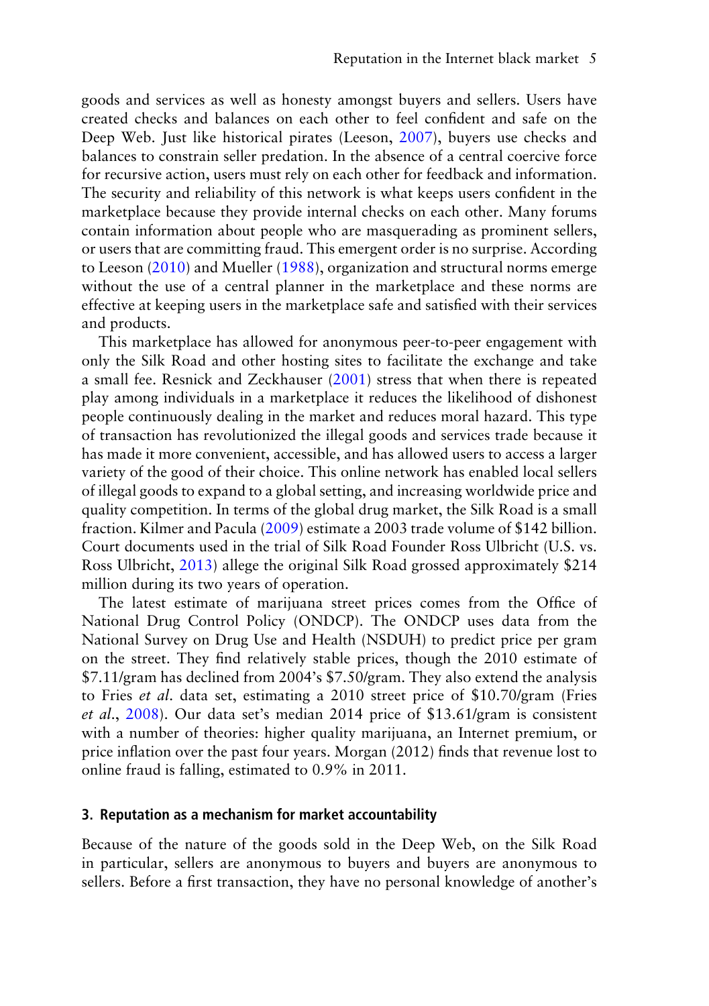goods and services as well as honesty amongst buyers and sellers. Users have created checks and balances on each other to feel confident and safe on the Deep Web. Just like historical pirates (Leeson, 2007), buyers use checks and balances to constrain seller predation. In the absence of a central coercive force for recursive action, users must rely on each other for feedback and information. The security and reliability of this network is what keeps users confident in the marketplace because they provide internal checks on each other. Many forums contain information about people who are masquerading as prominent sellers, or users that are committing fraud. This emergent order is no surprise. According to Leeson (2010) and Mueller (1988), organization and structural norms emerge without the use of a central planner in the marketplace and these norms are effective at keeping users in the marketplace safe and satisfied with their services and products.

This marketplace has allowed for anonymous peer-to-peer engagement with only the Silk Road and other hosting sites to facilitate the exchange and take a small fee. Resnick and Zeckhauser (2001) stress that when there is repeated play among individuals in a marketplace it reduces the likelihood of dishonest people continuously dealing in the market and reduces moral hazard. This type of transaction has revolutionized the illegal goods and services trade because it has made it more convenient, accessible, and has allowed users to access a larger variety of the good of their choice. This online network has enabled local sellers of illegal goods to expand to a global setting, and increasing worldwide price and quality competition. In terms of the global drug market, the Silk Road is a small fraction. Kilmer and Pacula (2009) estimate a 2003 trade volume of \$142 billion. Court documents used in the trial of Silk Road Founder Ross Ulbricht (U.S. vs. Ross Ulbricht, 2013) allege the original Silk Road grossed approximately \$214 million during its two years of operation.

The latest estimate of marijuana street prices comes from the Office of National Drug Control Policy (ONDCP). The ONDCP uses data from the National Survey on Drug Use and Health (NSDUH) to predict price per gram on the street. They find relatively stable prices, though the 2010 estimate of \$7.11/gram has declined from 2004's \$7.50/gram. They also extend the analysis to Fries *et al*. data set, estimating a 2010 street price of \$10.70/gram (Fries *et al*., 2008). Our data set's median 2014 price of \$13.61/gram is consistent with a number of theories: higher quality marijuana, an Internet premium, or price inflation over the past four years. Morgan (2012) finds that revenue lost to online fraud is falling, estimated to 0.9% in 2011.

#### **3. Reputation as a mechanism for market accountability**

Because of the nature of the goods sold in the Deep Web, on the Silk Road in particular, sellers are anonymous to buyers and buyers are anonymous to sellers. Before a first transaction, they have no personal knowledge of another's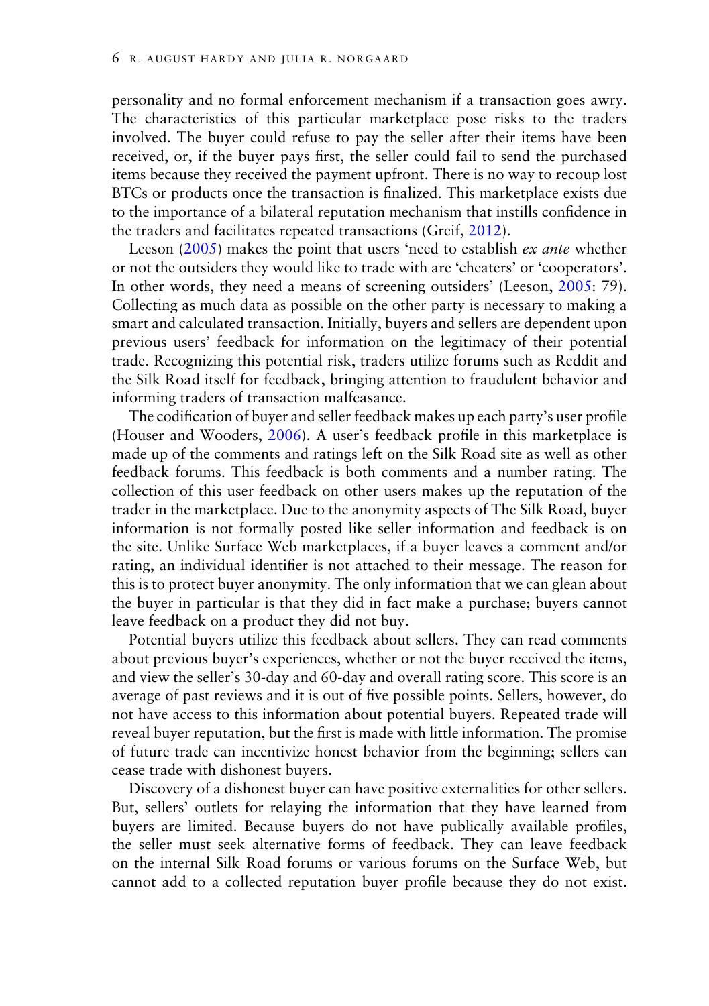personality and no formal enforcement mechanism if a transaction goes awry. The characteristics of this particular marketplace pose risks to the traders involved. The buyer could refuse to pay the seller after their items have been received, or, if the buyer pays first, the seller could fail to send the purchased items because they received the payment upfront. There is no way to recoup lost BTCs or products once the transaction is finalized. This marketplace exists due to the importance of a bilateral reputation mechanism that instills confidence in the traders and facilitates repeated transactions (Greif, 2012).

Leeson (2005) makes the point that users 'need to establish *ex ante* whether or not the outsiders they would like to trade with are 'cheaters' or 'cooperators'. In other words, they need a means of screening outsiders' (Leeson, 2005: 79). Collecting as much data as possible on the other party is necessary to making a smart and calculated transaction. Initially, buyers and sellers are dependent upon previous users' feedback for information on the legitimacy of their potential trade. Recognizing this potential risk, traders utilize forums such as Reddit and the Silk Road itself for feedback, bringing attention to fraudulent behavior and informing traders of transaction malfeasance.

The codification of buyer and seller feedback makes up each party's user profile (Houser and Wooders, 2006). A user's feedback profile in this marketplace is made up of the comments and ratings left on the Silk Road site as well as other feedback forums. This feedback is both comments and a number rating. The collection of this user feedback on other users makes up the reputation of the trader in the marketplace. Due to the anonymity aspects of The Silk Road, buyer information is not formally posted like seller information and feedback is on the site. Unlike Surface Web marketplaces, if a buyer leaves a comment and/or rating, an individual identifier is not attached to their message. The reason for this is to protect buyer anonymity. The only information that we can glean about the buyer in particular is that they did in fact make a purchase; buyers cannot leave feedback on a product they did not buy.

Potential buyers utilize this feedback about sellers. They can read comments about previous buyer's experiences, whether or not the buyer received the items, and view the seller's 30-day and 60-day and overall rating score. This score is an average of past reviews and it is out of five possible points. Sellers, however, do not have access to this information about potential buyers. Repeated trade will reveal buyer reputation, but the first is made with little information. The promise of future trade can incentivize honest behavior from the beginning; sellers can cease trade with dishonest buyers.

Discovery of a dishonest buyer can have positive externalities for other sellers. But, sellers' outlets for relaying the information that they have learned from buyers are limited. Because buyers do not have publically available profiles, the seller must seek alternative forms of feedback. They can leave feedback on the internal Silk Road forums or various forums on the Surface Web, but cannot add to a collected reputation buyer profile because they do not exist.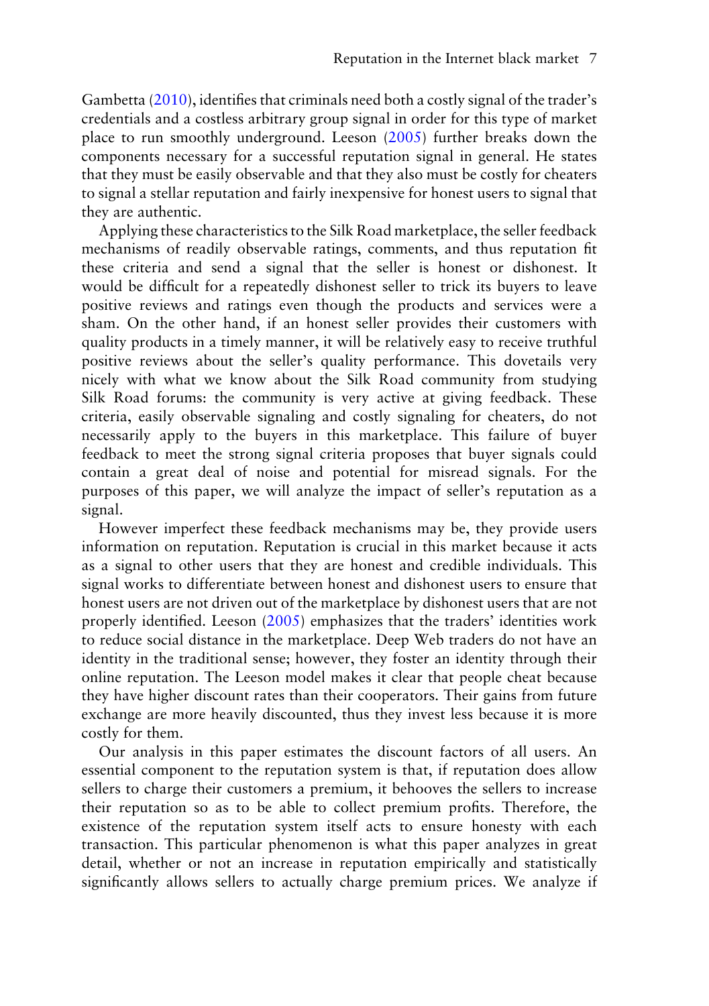Gambetta (2010), identifies that criminals need both a costly signal of the trader's credentials and a costless arbitrary group signal in order for this type of market place to run smoothly underground. Leeson (2005) further breaks down the components necessary for a successful reputation signal in general. He states that they must be easily observable and that they also must be costly for cheaters to signal a stellar reputation and fairly inexpensive for honest users to signal that they are authentic.

Applying these characteristics to the Silk Road marketplace, the seller feedback mechanisms of readily observable ratings, comments, and thus reputation fit these criteria and send a signal that the seller is honest or dishonest. It would be difficult for a repeatedly dishonest seller to trick its buyers to leave positive reviews and ratings even though the products and services were a sham. On the other hand, if an honest seller provides their customers with quality products in a timely manner, it will be relatively easy to receive truthful positive reviews about the seller's quality performance. This dovetails very nicely with what we know about the Silk Road community from studying Silk Road forums: the community is very active at giving feedback. These criteria, easily observable signaling and costly signaling for cheaters, do not necessarily apply to the buyers in this marketplace. This failure of buyer feedback to meet the strong signal criteria proposes that buyer signals could contain a great deal of noise and potential for misread signals. For the purposes of this paper, we will analyze the impact of seller's reputation as a signal.

However imperfect these feedback mechanisms may be, they provide users information on reputation. Reputation is crucial in this market because it acts as a signal to other users that they are honest and credible individuals. This signal works to differentiate between honest and dishonest users to ensure that honest users are not driven out of the marketplace by dishonest users that are not properly identified. Leeson (2005) emphasizes that the traders' identities work to reduce social distance in the marketplace. Deep Web traders do not have an identity in the traditional sense; however, they foster an identity through their online reputation. The Leeson model makes it clear that people cheat because they have higher discount rates than their cooperators. Their gains from future exchange are more heavily discounted, thus they invest less because it is more costly for them.

Our analysis in this paper estimates the discount factors of all users. An essential component to the reputation system is that, if reputation does allow sellers to charge their customers a premium, it behooves the sellers to increase their reputation so as to be able to collect premium profits. Therefore, the existence of the reputation system itself acts to ensure honesty with each transaction. This particular phenomenon is what this paper analyzes in great detail, whether or not an increase in reputation empirically and statistically significantly allows sellers to actually charge premium prices. We analyze if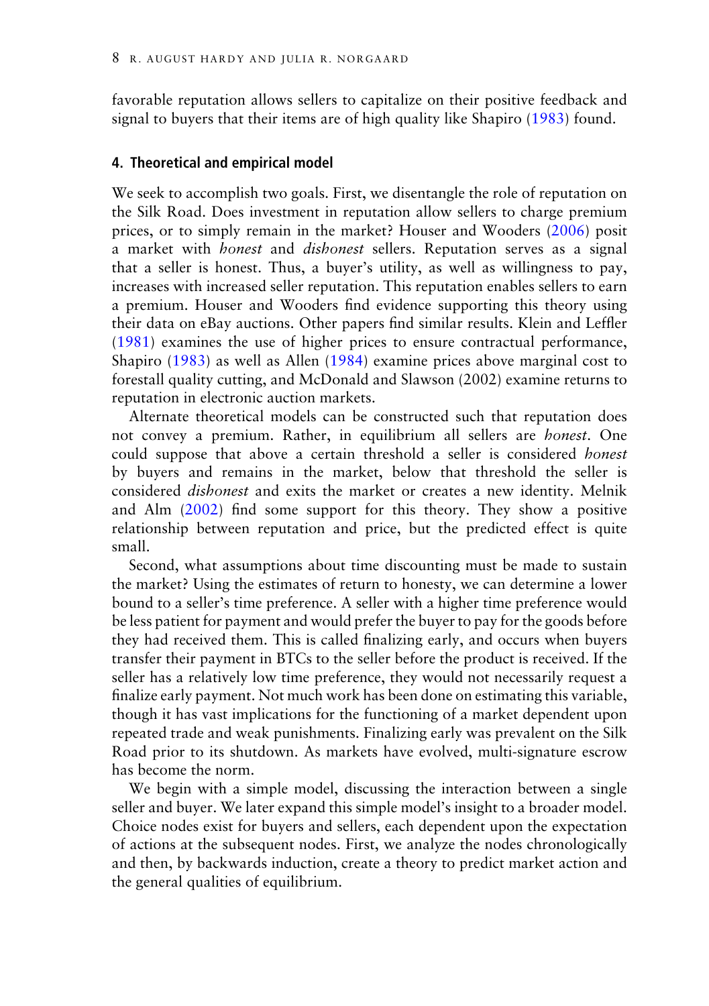favorable reputation allows sellers to capitalize on their positive feedback and signal to buyers that their items are of high quality like Shapiro (1983) found.

#### **4. Theoretical and empirical model**

We seek to accomplish two goals. First, we disentangle the role of reputation on the Silk Road. Does investment in reputation allow sellers to charge premium prices, or to simply remain in the market? Houser and Wooders (2006) posit a market with *honest* and *dishonest* sellers. Reputation serves as a signal that a seller is honest. Thus, a buyer's utility, as well as willingness to pay, increases with increased seller reputation. This reputation enables sellers to earn a premium. Houser and Wooders find evidence supporting this theory using their data on eBay auctions. Other papers find similar results. Klein and Leffler (1981) examines the use of higher prices to ensure contractual performance, Shapiro (1983) as well as Allen (1984) examine prices above marginal cost to forestall quality cutting, and McDonald and Slawson (2002) examine returns to reputation in electronic auction markets.

Alternate theoretical models can be constructed such that reputation does not convey a premium. Rather, in equilibrium all sellers are *honest*. One could suppose that above a certain threshold a seller is considered *honest* by buyers and remains in the market, below that threshold the seller is considered *dishonest* and exits the market or creates a new identity. Melnik and Alm (2002) find some support for this theory. They show a positive relationship between reputation and price, but the predicted effect is quite small.

Second, what assumptions about time discounting must be made to sustain the market? Using the estimates of return to honesty, we can determine a lower bound to a seller's time preference. A seller with a higher time preference would be less patient for payment and would prefer the buyer to pay for the goods before they had received them. This is called finalizing early, and occurs when buyers transfer their payment in BTCs to the seller before the product is received. If the seller has a relatively low time preference, they would not necessarily request a finalize early payment. Not much work has been done on estimating this variable, though it has vast implications for the functioning of a market dependent upon repeated trade and weak punishments. Finalizing early was prevalent on the Silk Road prior to its shutdown. As markets have evolved, multi-signature escrow has become the norm.

We begin with a simple model, discussing the interaction between a single seller and buyer. We later expand this simple model's insight to a broader model. Choice nodes exist for buyers and sellers, each dependent upon the expectation of actions at the subsequent nodes. First, we analyze the nodes chronologically and then, by backwards induction, create a theory to predict market action and the general qualities of equilibrium.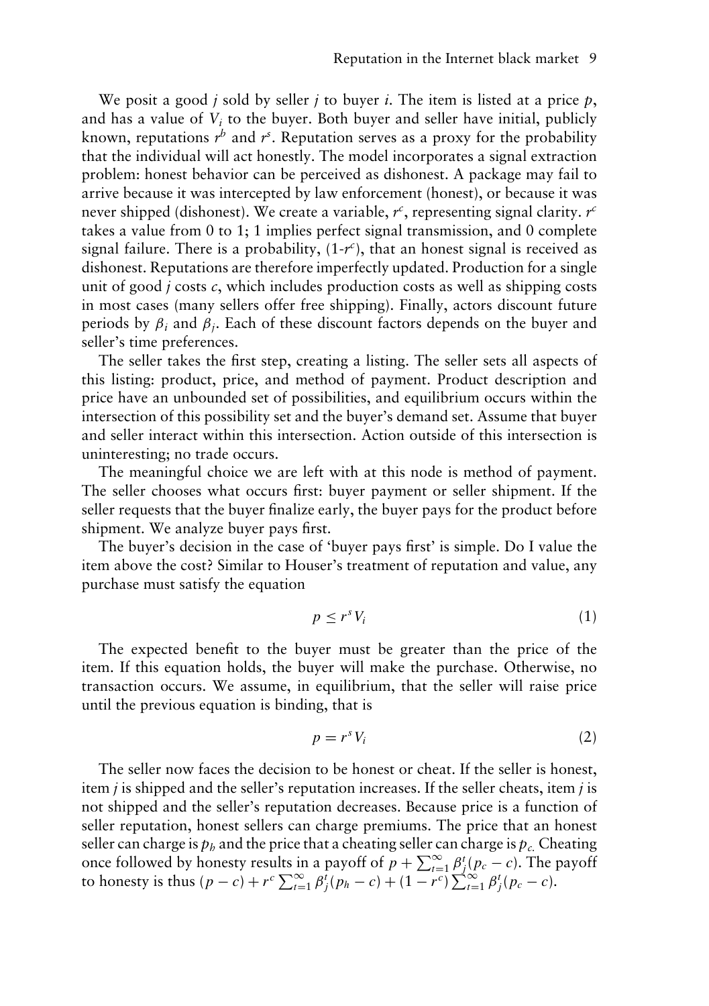We posit a good *j* sold by seller *j* to buyer *i*. The item is listed at a price *p*, and has a value of *Vi* to the buyer. Both buyer and seller have initial, publicly known, reputations *rb* and *rs* . Reputation serves as a proxy for the probability that the individual will act honestly. The model incorporates a signal extraction problem: honest behavior can be perceived as dishonest. A package may fail to arrive because it was intercepted by law enforcement (honest), or because it was never shipped (dishonest). We create a variable, *rc* , representing signal clarity. *rc* takes a value from 0 to 1; 1 implies perfect signal transmission, and 0 complete signal failure. There is a probability, (1-*rc* ), that an honest signal is received as dishonest. Reputations are therefore imperfectly updated. Production for a single unit of good *j* costs *c*, which includes production costs as well as shipping costs in most cases (many sellers offer free shipping). Finally, actors discount future periods by *β<sup>i</sup>* and *βj*. Each of these discount factors depends on the buyer and seller's time preferences.

The seller takes the first step, creating a listing. The seller sets all aspects of this listing: product, price, and method of payment. Product description and price have an unbounded set of possibilities, and equilibrium occurs within the intersection of this possibility set and the buyer's demand set. Assume that buyer and seller interact within this intersection. Action outside of this intersection is uninteresting; no trade occurs.

The meaningful choice we are left with at this node is method of payment. The seller chooses what occurs first: buyer payment or seller shipment. If the seller requests that the buyer finalize early, the buyer pays for the product before shipment. We analyze buyer pays first.

The buyer's decision in the case of 'buyer pays first' is simple. Do I value the item above the cost? Similar to Houser's treatment of reputation and value, any purchase must satisfy the equation

$$
p \leq r^s V_i \tag{1}
$$

The expected benefit to the buyer must be greater than the price of the item. If this equation holds, the buyer will make the purchase. Otherwise, no transaction occurs. We assume, in equilibrium, that the seller will raise price until the previous equation is binding, that is

$$
p = r^s V_i \tag{2}
$$

The seller now faces the decision to be honest or cheat. If the seller is honest, item *j* is shipped and the seller's reputation increases. If the seller cheats, item *j* is not shipped and the seller's reputation decreases. Because price is a function of seller reputation, honest sellers can charge premiums. The price that an honest seller can charge is  $p_h$  and the price that a cheating seller can charge is  $p_c$ . Cheating once followed by honesty results in a payoff of  $p + \sum_{i=1}^{\infty} \frac{\beta_i^t (p_c - c)}{p_c^t}$ . The payoff to honesty is thus  $(p - c) + r^c \sum_{t=1}^{\infty} \beta_j^t (p_h - c) + (1 - r^c) \sum_{t=1}^{\infty} \beta_j^t (p_c - c)$ .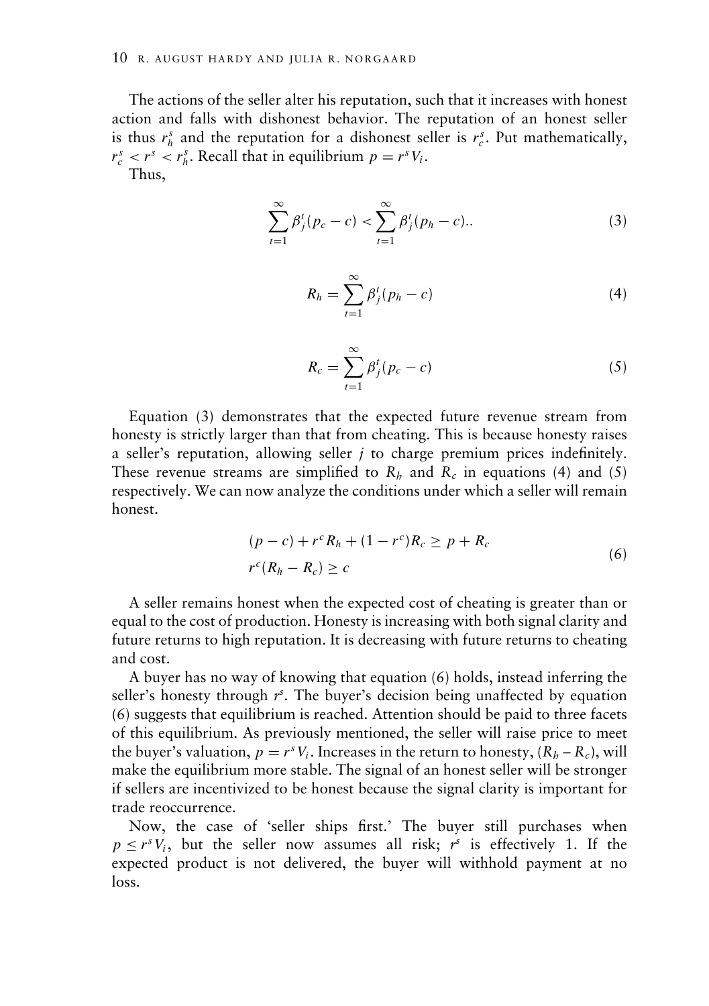#### 10 R. AUGUST HARDY AND JULIA R. NORGAARD

The actions of the seller alter his reputation, such that it increases with honest action and falls with dishonest behavior. The reputation of an honest seller is thus  $r_h^s$  and the reputation for a dishonest seller is  $r_c^s$ . Put mathematically,  $r_c^s < r^s < r_h^s$ . Recall that in equilibrium  $p = r^s V_i$ .

Thus,

$$
\sum_{t=1}^{\infty} \beta_j^t (p_c - c) < \sum_{t=1}^{\infty} \beta_j^t (p_h - c). \tag{3}
$$

$$
R_h = \sum_{t=1}^{\infty} \beta_j^t (p_h - c) \tag{4}
$$

$$
R_c = \sum_{t=1}^{\infty} \beta_j^t (p_c - c) \tag{5}
$$

Equation (3) demonstrates that the expected future revenue stream from honesty is strictly larger than that from cheating. This is because honesty raises a seller's reputation, allowing seller *j* to charge premium prices indefinitely. These revenue streams are simplified to  $R_h$  and  $R_c$  in equations (4) and (5) respectively. We can now analyze the conditions under which a seller will remain honest.

$$
(p-c) + rc Rh + (1 - rc) Rc \ge p + Rc
$$
  

$$
rc (Rh - Rc) \ge c
$$
 (6)

A seller remains honest when the expected cost of cheating is greater than or equal to the cost of production. Honesty is increasing with both signal clarity and future returns to high reputation. It is decreasing with future returns to cheating and cost.

A buyer has no way of knowing that equation (6) holds, instead inferring the seller's honesty through  $r^s$ . The buyer's decision being unaffected by equation (6) suggests that equilibrium is reached. Attention should be paid to three facets of this equilibrium. As previously mentioned, the seller will raise price to meet the buyer's valuation,  $p = r^s V_i$ . Increases in the return to honesty,  $(R_h - R_c)$ , will make the equilibrium more stable. The signal of an honest seller will be stronger if sellers are incentivized to be honest because the signal clarity is important for trade reoccurrence.

Now, the case of 'seller ships first.' The buyer still purchases when  $p \le r^s V_i$ , but the seller now assumes all risk;  $r^s$  is effectively 1. If the expected product is not delivered, the buyer will withhold payment at no loss.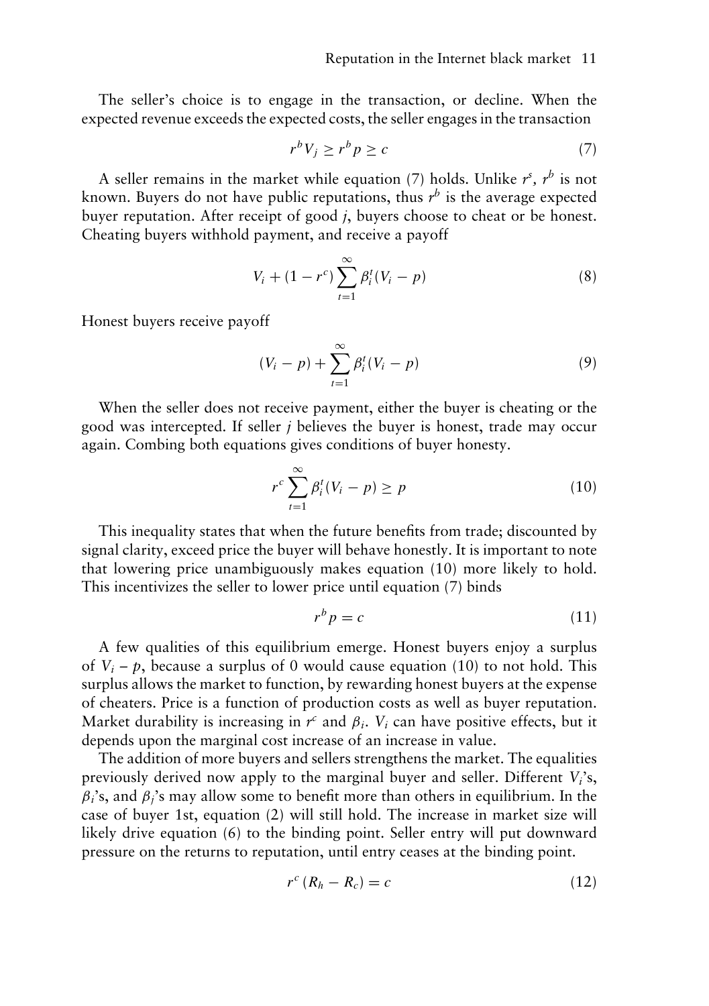The seller's choice is to engage in the transaction, or decline. When the expected revenue exceeds the expected costs, the seller engages in the transaction

$$
r^b V_j \ge r^b p \ge c \tag{7}
$$

A seller remains in the market while equation (7) holds. Unlike *rs , rb* is not known. Buyers do not have public reputations, thus  $r^b$  is the average expected buyer reputation. After receipt of good *j*, buyers choose to cheat or be honest. Cheating buyers withhold payment, and receive a payoff

$$
V_i + (1 - r^c) \sum_{t=1}^{\infty} \beta_i^t (V_i - p)
$$
 (8)

Honest buyers receive payoff

$$
(V_i - p) + \sum_{t=1}^{\infty} \beta_i^t (V_i - p) \tag{9}
$$

When the seller does not receive payment, either the buyer is cheating or the good was intercepted. If seller *j* believes the buyer is honest, trade may occur again. Combing both equations gives conditions of buyer honesty.

$$
r^c \sum_{i=1}^{\infty} \beta_i^t (V_i - p) \ge p \tag{10}
$$

This inequality states that when the future benefits from trade; discounted by signal clarity, exceed price the buyer will behave honestly. It is important to note that lowering price unambiguously makes equation (10) more likely to hold. This incentivizes the seller to lower price until equation (7) binds

$$
r^b p = c \tag{11}
$$

A few qualities of this equilibrium emerge. Honest buyers enjoy a surplus of  $V_i - p$ , because a surplus of 0 would cause equation (10) to not hold. This surplus allows the market to function, by rewarding honest buyers at the expense of cheaters. Price is a function of production costs as well as buyer reputation. Market durability is increasing in  $r^c$  and  $\beta_i$ .  $V_i$  can have positive effects, but it depends upon the marginal cost increase of an increase in value.

The addition of more buyers and sellers strengthens the market. The equalities previously derived now apply to the marginal buyer and seller. Different *Vi*'s, *βi*'s, and *βj*'s may allow some to benefit more than others in equilibrium. In the case of buyer 1st, equation (2) will still hold. The increase in market size will likely drive equation (6) to the binding point. Seller entry will put downward pressure on the returns to reputation, until entry ceases at the binding point.

$$
r^{c} (R_h - R_c) = c \tag{12}
$$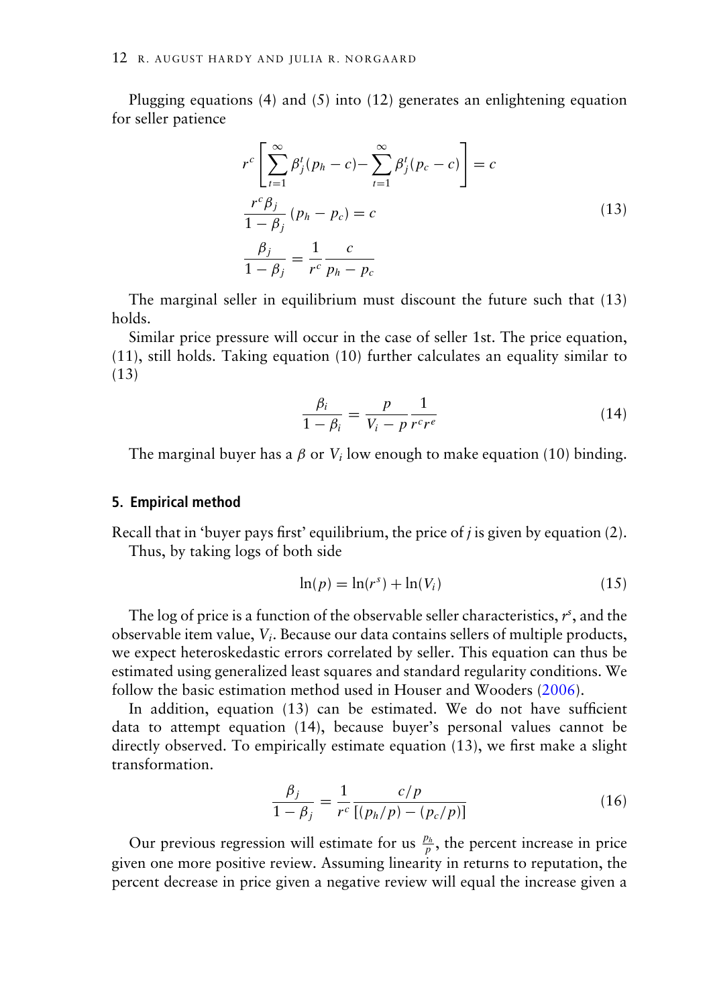Plugging equations (4) and (5) into (12) generates an enlightening equation for seller patience

$$
r^{c} \left[ \sum_{t=1}^{\infty} \beta_{j}^{t} (p_{h} - c) - \sum_{t=1}^{\infty} \beta_{j}^{t} (p_{c} - c) \right] = c
$$
  

$$
\frac{r^{c} \beta_{j}}{1 - \beta_{j}} (p_{h} - p_{c}) = c
$$
  

$$
\frac{\beta_{j}}{1 - \beta_{j}} = \frac{1}{r^{c}} \frac{c}{p_{h} - p_{c}}
$$
 (13)

The marginal seller in equilibrium must discount the future such that (13) holds.

Similar price pressure will occur in the case of seller 1st. The price equation, (11), still holds. Taking equation (10) further calculates an equality similar to (13)

$$
\frac{\beta_i}{1-\beta_i} = \frac{p}{V_i - p} \frac{1}{r^c r^e} \tag{14}
$$

The marginal buyer has a  $\beta$  or  $V_i$  low enough to make equation (10) binding.

#### **5. Empirical method**

Recall that in 'buyer pays first' equilibrium, the price of *j* is given by equation (2). Thus, by taking logs of both side

$$
\ln(p) = \ln(r^s) + \ln(V_i) \tag{15}
$$

The log of price is a function of the observable seller characteristics, *rs* , and the observable item value, *Vi*. Because our data contains sellers of multiple products, we expect heteroskedastic errors correlated by seller. This equation can thus be estimated using generalized least squares and standard regularity conditions. We follow the basic estimation method used in Houser and Wooders (2006).

In addition, equation (13) can be estimated. We do not have sufficient data to attempt equation (14), because buyer's personal values cannot be directly observed. To empirically estimate equation (13), we first make a slight transformation.

$$
\frac{\beta_j}{1 - \beta_j} = \frac{1}{r^c} \frac{c/p}{[(p_h/p) - (p_c/p)]}
$$
(16)

Our previous regression will estimate for us  $\frac{p_h}{p}$ , the percent increase in price given one more positive review. Assuming linearity in returns to reputation, the percent decrease in price given a negative review will equal the increase given a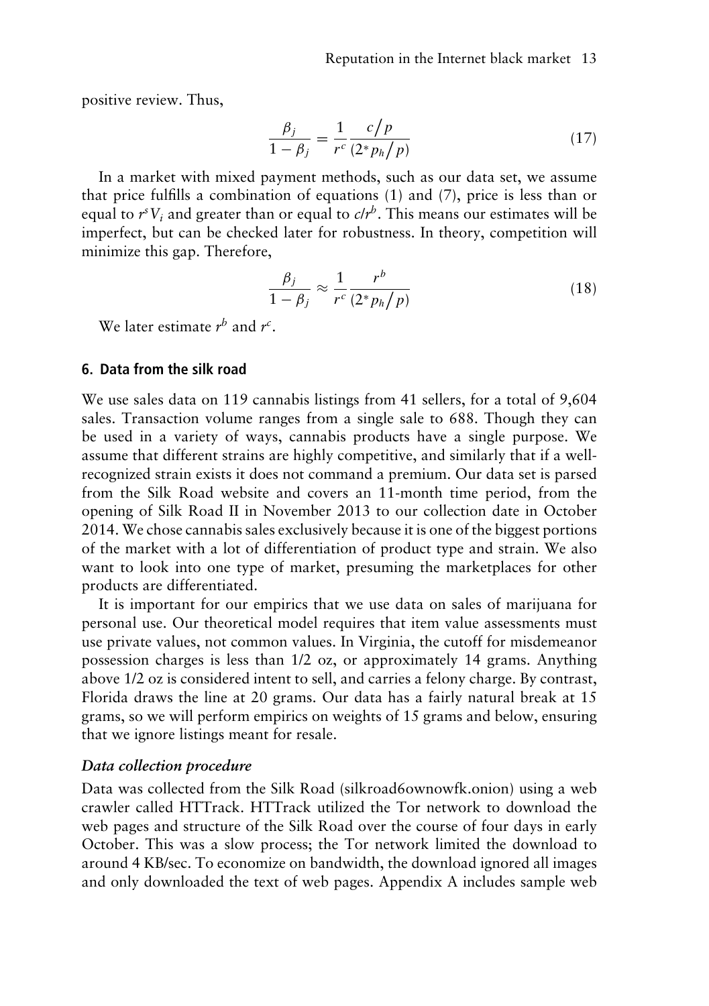positive review. Thus,

$$
\frac{\beta_j}{1-\beta_j} = \frac{1}{r^c} \frac{c/p}{(2^* p_h/p)}
$$
(17)

In a market with mixed payment methods, such as our data set, we assume that price fulfills a combination of equations (1) and (7), price is less than or equal to  $r^sV_i$  and greater than or equal to  $\mathit{clr}^b$ . This means our estimates will be imperfect, but can be checked later for robustness. In theory, competition will minimize this gap. Therefore,

$$
\frac{\beta_j}{1-\beta_j} \approx \frac{1}{r^c} \frac{r^b}{(2^* p_h/p)}
$$
(18)

We later estimate *rb* and *rc* .

#### **6. Data from the silk road**

We use sales data on 119 cannabis listings from 41 sellers, for a total of 9,604 sales. Transaction volume ranges from a single sale to 688. Though they can be used in a variety of ways, cannabis products have a single purpose. We assume that different strains are highly competitive, and similarly that if a wellrecognized strain exists it does not command a premium. Our data set is parsed from the Silk Road website and covers an 11-month time period, from the opening of Silk Road II in November 2013 to our collection date in October 2014. We chose cannabis sales exclusively because it is one of the biggest portions of the market with a lot of differentiation of product type and strain. We also want to look into one type of market, presuming the marketplaces for other products are differentiated.

It is important for our empirics that we use data on sales of marijuana for personal use. Our theoretical model requires that item value assessments must use private values, not common values. In Virginia, the cutoff for misdemeanor possession charges is less than 1/2 oz, or approximately 14 grams. Anything above 1/2 oz is considered intent to sell, and carries a felony charge. By contrast, Florida draws the line at 20 grams. Our data has a fairly natural break at 15 grams, so we will perform empirics on weights of 15 grams and below, ensuring that we ignore listings meant for resale.

#### *Data collection procedure*

Data was collected from the Silk Road (silkroad6ownowfk.onion) using a web crawler called HTTrack. HTTrack utilized the Tor network to download the web pages and structure of the Silk Road over the course of four days in early October. This was a slow process; the Tor network limited the download to around 4 KB/sec. To economize on bandwidth, the download ignored all images and only downloaded the text of web pages. Appendix A includes sample web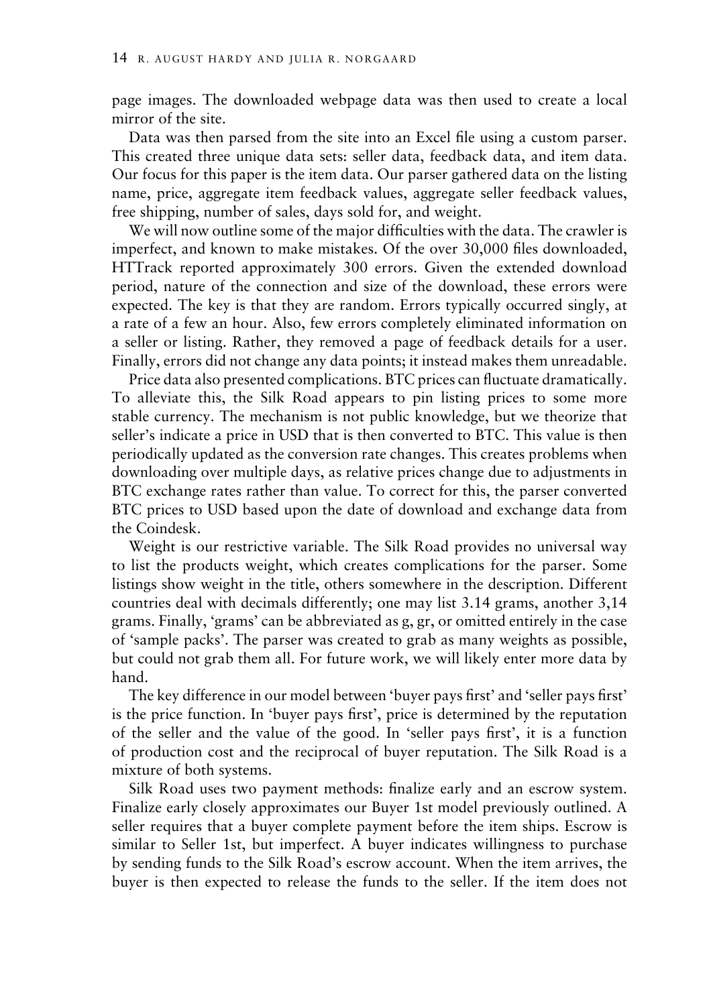page images. The downloaded webpage data was then used to create a local mirror of the site.

Data was then parsed from the site into an Excel file using a custom parser. This created three unique data sets: seller data, feedback data, and item data. Our focus for this paper is the item data. Our parser gathered data on the listing name, price, aggregate item feedback values, aggregate seller feedback values, free shipping, number of sales, days sold for, and weight.

We will now outline some of the major difficulties with the data. The crawler is imperfect, and known to make mistakes. Of the over 30,000 files downloaded, HTTrack reported approximately 300 errors. Given the extended download period, nature of the connection and size of the download, these errors were expected. The key is that they are random. Errors typically occurred singly, at a rate of a few an hour. Also, few errors completely eliminated information on a seller or listing. Rather, they removed a page of feedback details for a user. Finally, errors did not change any data points; it instead makes them unreadable.

Price data also presented complications. BTC prices can fluctuate dramatically. To alleviate this, the Silk Road appears to pin listing prices to some more stable currency. The mechanism is not public knowledge, but we theorize that seller's indicate a price in USD that is then converted to BTC. This value is then periodically updated as the conversion rate changes. This creates problems when downloading over multiple days, as relative prices change due to adjustments in BTC exchange rates rather than value. To correct for this, the parser converted BTC prices to USD based upon the date of download and exchange data from the Coindesk.

Weight is our restrictive variable. The Silk Road provides no universal way to list the products weight, which creates complications for the parser. Some listings show weight in the title, others somewhere in the description. Different countries deal with decimals differently; one may list 3.14 grams, another 3,14 grams. Finally, 'grams' can be abbreviated as g, gr, or omitted entirely in the case of 'sample packs'. The parser was created to grab as many weights as possible, but could not grab them all. For future work, we will likely enter more data by hand.

The key difference in our model between 'buyer pays first' and 'seller pays first' is the price function. In 'buyer pays first', price is determined by the reputation of the seller and the value of the good. In 'seller pays first', it is a function of production cost and the reciprocal of buyer reputation. The Silk Road is a mixture of both systems.

Silk Road uses two payment methods: finalize early and an escrow system. Finalize early closely approximates our Buyer 1st model previously outlined. A seller requires that a buyer complete payment before the item ships. Escrow is similar to Seller 1st, but imperfect. A buyer indicates willingness to purchase by sending funds to the Silk Road's escrow account. When the item arrives, the buyer is then expected to release the funds to the seller. If the item does not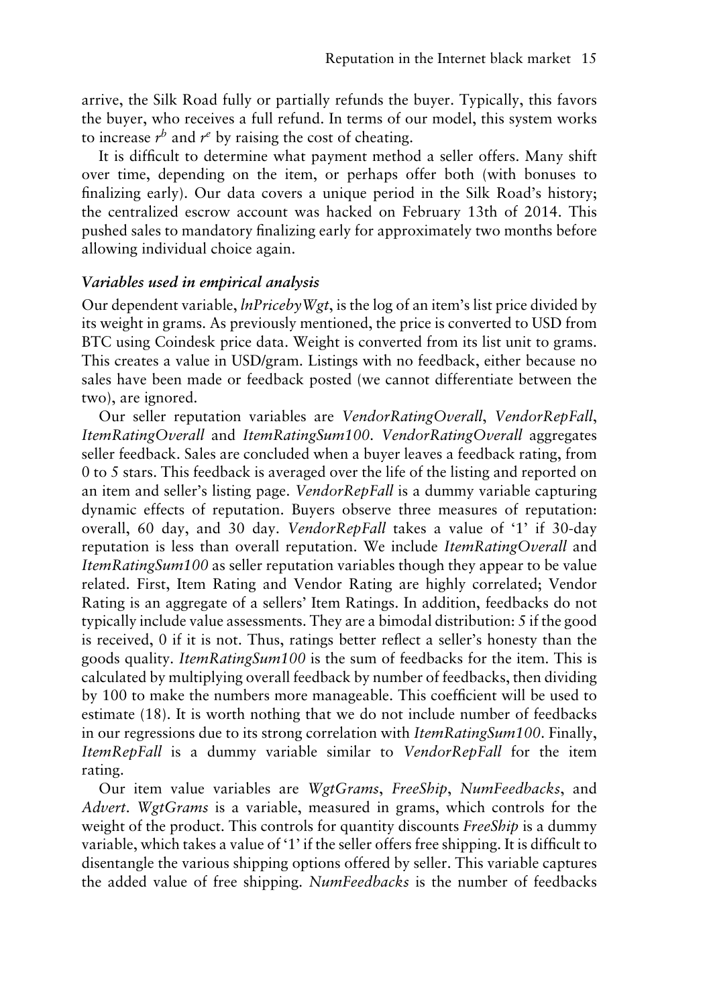arrive, the Silk Road fully or partially refunds the buyer. Typically, this favors the buyer, who receives a full refund. In terms of our model, this system works to increase  $r^b$  and  $r^e$  by raising the cost of cheating.

It is difficult to determine what payment method a seller offers. Many shift over time, depending on the item, or perhaps offer both (with bonuses to finalizing early). Our data covers a unique period in the Silk Road's history; the centralized escrow account was hacked on February 13th of 2014. This pushed sales to mandatory finalizing early for approximately two months before allowing individual choice again.

#### *Variables used in empirical analysis*

Our dependent variable, *lnPricebyWgt*, is the log of an item's list price divided by its weight in grams. As previously mentioned, the price is converted to USD from BTC using Coindesk price data. Weight is converted from its list unit to grams. This creates a value in USD/gram. Listings with no feedback, either because no sales have been made or feedback posted (we cannot differentiate between the two), are ignored.

Our seller reputation variables are *VendorRatingOverall*, *VendorRepFall*, *ItemRatingOverall* and *ItemRatingSum100*. *VendorRatingOverall* aggregates seller feedback. Sales are concluded when a buyer leaves a feedback rating, from 0 to 5 stars. This feedback is averaged over the life of the listing and reported on an item and seller's listing page. *VendorRepFall* is a dummy variable capturing dynamic effects of reputation. Buyers observe three measures of reputation: overall, 60 day, and 30 day. *VendorRepFall* takes a value of '1' if 30-day reputation is less than overall reputation. We include *ItemRatingOverall* and *ItemRatingSum100* as seller reputation variables though they appear to be value related. First, Item Rating and Vendor Rating are highly correlated; Vendor Rating is an aggregate of a sellers' Item Ratings. In addition, feedbacks do not typically include value assessments. They are a bimodal distribution: 5 if the good is received, 0 if it is not. Thus, ratings better reflect a seller's honesty than the goods quality. *ItemRatingSum100* is the sum of feedbacks for the item. This is calculated by multiplying overall feedback by number of feedbacks, then dividing by 100 to make the numbers more manageable. This coefficient will be used to estimate (18). It is worth nothing that we do not include number of feedbacks in our regressions due to its strong correlation with *ItemRatingSum100*. Finally, *ItemRepFall* is a dummy variable similar to *VendorRepFall* for the item rating.

Our item value variables are *WgtGrams*, *FreeShip*, *NumFeedbacks*, and *Advert*. *WgtGrams* is a variable, measured in grams, which controls for the weight of the product. This controls for quantity discounts *FreeShip* is a dummy variable, which takes a value of '1' if the seller offers free shipping. It is difficult to disentangle the various shipping options offered by seller. This variable captures the added value of free shipping. *NumFeedbacks* is the number of feedbacks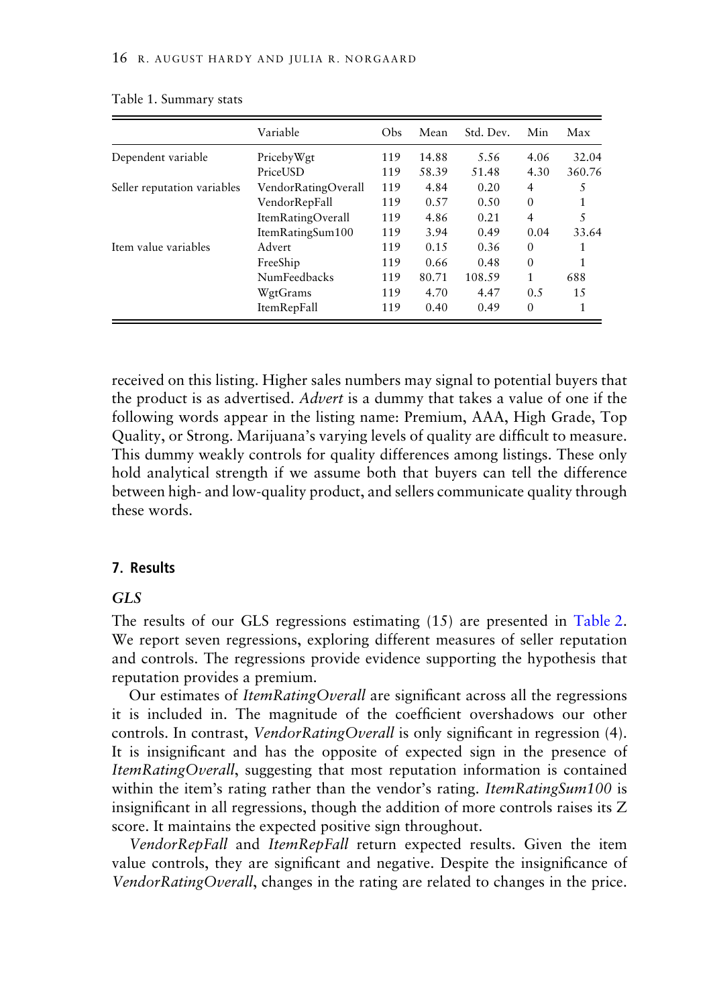|                             | Variable            | Obs | Mean  | Std. Dev. | Min            | Max    |
|-----------------------------|---------------------|-----|-------|-----------|----------------|--------|
| Dependent variable          | PricebyWgt          | 119 | 14.88 | 5.56      | 4.06           | 32.04  |
|                             | PriceUSD            | 119 | 58.39 | 51.48     | 4.30           | 360.76 |
| Seller reputation variables | VendorRatingOverall | 119 | 4.84  | 0.20      | $\overline{4}$ | 5      |
|                             | VendorRepFall       | 119 | 0.57  | 0.50      | $\Omega$       |        |
|                             | ItemRatingOverall   | 119 | 4.86  | 0.21      | $\overline{4}$ | 5      |
|                             | ItemRatingSum100    | 119 | 3.94  | 0.49      | 0.04           | 33.64  |
| Item value variables        | Advert              | 119 | 0.15  | 0.36      | $\Omega$       |        |
|                             | FreeShip            | 119 | 0.66  | 0.48      | $\Omega$       |        |
|                             | <b>NumFeedbacks</b> | 119 | 80.71 | 108.59    | 1              | 688    |
|                             | WgtGrams            | 119 | 4.70  | 4.47      | 0.5            | 1.5    |
|                             | ItemRepFall         | 119 | 0.40  | 0.49      | $\Omega$       |        |

|  | Table 1. Summary stats |  |
|--|------------------------|--|
|--|------------------------|--|

received on this listing. Higher sales numbers may signal to potential buyers that the product is as advertised. *Advert* is a dummy that takes a value of one if the following words appear in the listing name: Premium, AAA, High Grade, Top Quality, or Strong. Marijuana's varying levels of quality are difficult to measure. This dummy weakly controls for quality differences among listings. These only hold analytical strength if we assume both that buyers can tell the difference between high- and low-quality product, and sellers communicate quality through these words.

#### **7. Results**

#### *GLS*

The results of our GLS regressions estimating (15) are presented in Table 2. We report seven regressions, exploring different measures of seller reputation and controls. The regressions provide evidence supporting the hypothesis that reputation provides a premium.

Our estimates of *ItemRatingOverall* are significant across all the regressions it is included in. The magnitude of the coefficient overshadows our other controls. In contrast, *VendorRatingOverall* is only significant in regression (4). It is insignificant and has the opposite of expected sign in the presence of *ItemRatingOverall*, suggesting that most reputation information is contained within the item's rating rather than the vendor's rating. *ItemRatingSum100* is insignificant in all regressions, though the addition of more controls raises its Z score. It maintains the expected positive sign throughout.

*VendorRepFall* and *ItemRepFall* return expected results. Given the item value controls, they are significant and negative. Despite the insignificance of *VendorRatingOverall*, changes in the rating are related to changes in the price.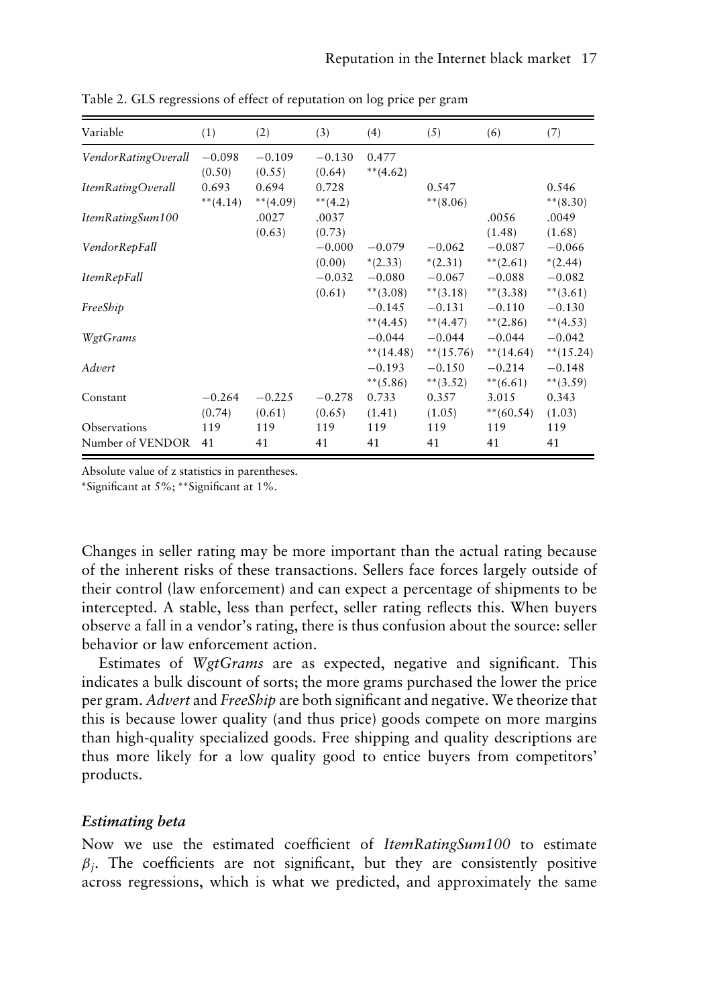| Variable                 | (1)        | (2)        | (3)       | (4)         | (5)         | (6)           | (7)         |
|--------------------------|------------|------------|-----------|-------------|-------------|---------------|-------------|
| VendorRatingOverall      | $-0.098$   | $-0.109$   | $-0.130$  | 0.477       |             |               |             |
|                          | (0.50)     | (0.55)     | (0.64)    | $**(4.62)$  |             |               |             |
| <b>ItemRatingOverall</b> | 0.693      | 0.694      | 0.728     |             | 0.547       |               | 0.546       |
|                          | $**(4.14)$ | $**(4.09)$ | $**(4.2)$ |             | $***(8.06)$ |               | $***(8.30)$ |
| ItemRatingSum100         |            | .0027      | .0037     |             |             | .0056         | .0049       |
|                          |            | (0.63)     | (0.73)    |             |             | (1.48)        | (1.68)      |
| VendorRepFall            |            |            | $-0.000$  | $-0.079$    | $-0.062$    | $-0.087$      | $-0.066$    |
|                          |            |            | (0.00)    | $*(2.33)$   | $*(2.31)$   | $^{**}(2.61)$ | $*(2.44)$   |
| <i>ItemRepFall</i>       |            |            | $-0.032$  | $-0.080$    | $-0.067$    | $-0.088$      | $-0.082$    |
|                          |            |            | (0.61)    | $***(3.08)$ | $**$ (3.18) | $**$ (3.38)   | $***(3.61)$ |
| FreeShip                 |            |            |           | $-0.145$    | $-0.131$    | $-0.110$      | $-0.130$    |
|                          |            |            |           | $**(4.45)$  | $**(4.47)$  | $**(2.86)$    | $**(4.53)$  |
| WgtGrams                 |            |            |           | $-0.044$    | $-0.044$    | $-0.044$      | $-0.042$    |
|                          |            |            |           | $**(14.48)$ | $**(15.76)$ | $**(14.64)$   | $**(15.24)$ |
| Advert                   |            |            |           | $-0.193$    | $-0.150$    | $-0.214$      | $-0.148$    |
|                          |            |            |           | $***(5.86)$ | $**$ (3.52) | $^{**}(6.61)$ | $**$ (3.59) |
| Constant                 | $-0.264$   | $-0.225$   | $-0.278$  | 0.733       | 0.357       | 3.015         | 0.343       |
|                          | (0.74)     | (0.61)     | (0.65)    | (1.41)      | (1.05)      | $**(60.54)$   | (1.03)      |
| <b>Observations</b>      | 119        | 119        | 119       | 119         | 119         | 119           | 119         |
| Number of VENDOR         | 41         | 41         | 41        | 41          | 41          | 41            | 41          |

Table 2. GLS regressions of effect of reputation on log price per gram

Absolute value of z statistics in parentheses.

∗Significant at 5%; ∗∗Significant at 1%.

Changes in seller rating may be more important than the actual rating because of the inherent risks of these transactions. Sellers face forces largely outside of their control (law enforcement) and can expect a percentage of shipments to be intercepted. A stable, less than perfect, seller rating reflects this. When buyers observe a fall in a vendor's rating, there is thus confusion about the source: seller behavior or law enforcement action.

Estimates of *WgtGrams* are as expected, negative and significant. This indicates a bulk discount of sorts; the more grams purchased the lower the price per gram. *Advert* and *FreeShip* are both significant and negative. We theorize that this is because lower quality (and thus price) goods compete on more margins than high-quality specialized goods. Free shipping and quality descriptions are thus more likely for a low quality good to entice buyers from competitors' products.

#### *Estimating beta*

Now we use the estimated coefficient of *ItemRatingSum100* to estimate  $\beta$ <sup>*j*</sup>. The coefficients are not significant, but they are consistently positive across regressions, which is what we predicted, and approximately the same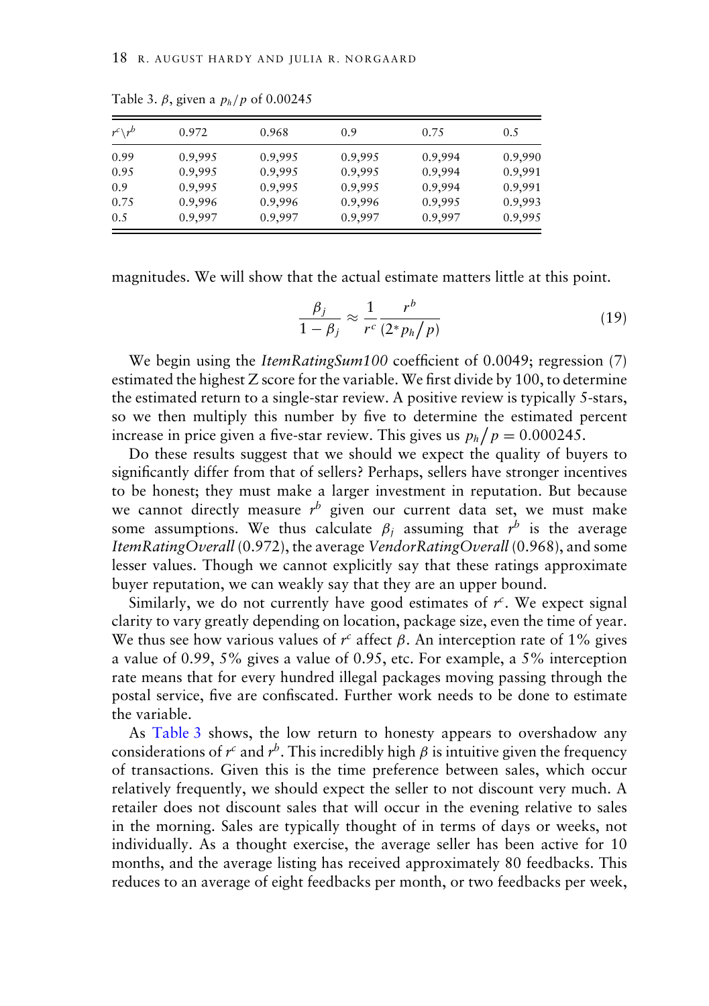| $r^c \backslash r^b$ | 0.972   | 0.968   | 0.9     | 0.75    | 0.5     |
|----------------------|---------|---------|---------|---------|---------|
| 0.99                 | 0.9,995 | 0.9,995 | 0.9,995 | 0.9,994 | 0.9,990 |
| 0.95                 | 0.9,995 | 0.9,995 | 0.9,995 | 0.9,994 | 0.9,991 |
| 0.9                  | 0.9,995 | 0.9,995 | 0.9,995 | 0.9,994 | 0.9,991 |
| 0.75                 | 0.9,996 | 0.9,996 | 0.9,996 | 0.9,995 | 0.9,993 |
| 0.5                  | 0.9,997 | 0.9,997 | 0.9,997 | 0.9,997 | 0.9,995 |

Table 3. *β*, given a *ph/p* of 0.00245

magnitudes. We will show that the actual estimate matters little at this point.

$$
\frac{\beta_j}{1-\beta_j} \approx \frac{1}{r^c} \frac{r^b}{(2^* p_h/p)}
$$
(19)

We begin using the *ItemRatingSum100* coefficient of 0.0049; regression (7) estimated the highest Z score for the variable. We first divide by 100, to determine the estimated return to a single-star review. A positive review is typically 5-stars, so we then multiply this number by five to determine the estimated percent increase in price given a five-star review. This gives us  $p_h/p = 0.000245$ .

Do these results suggest that we should we expect the quality of buyers to significantly differ from that of sellers? Perhaps, sellers have stronger incentives to be honest; they must make a larger investment in reputation. But because we cannot directly measure  $r^b$  given our current data set, we must make some assumptions. We thus calculate  $\beta_i$  assuming that  $r^b$  is the average *ItemRatingOverall* (0.972), the average *VendorRatingOverall* (0.968), and some lesser values. Though we cannot explicitly say that these ratings approximate buyer reputation, we can weakly say that they are an upper bound.

Similarly, we do not currently have good estimates of  $r^c$ . We expect signal clarity to vary greatly depending on location, package size, even the time of year. We thus see how various values of  $r^c$  affect  $\beta$ . An interception rate of 1% gives a value of 0.99, 5% gives a value of 0.95, etc. For example, a 5% interception rate means that for every hundred illegal packages moving passing through the postal service, five are confiscated. Further work needs to be done to estimate the variable.

As Table 3 shows, the low return to honesty appears to overshadow any considerations of  $r^c$  and  $r^b$ . This incredibly high  $\beta$  is intuitive given the frequency of transactions. Given this is the time preference between sales, which occur relatively frequently, we should expect the seller to not discount very much. A retailer does not discount sales that will occur in the evening relative to sales in the morning. Sales are typically thought of in terms of days or weeks, not individually. As a thought exercise, the average seller has been active for 10 months, and the average listing has received approximately 80 feedbacks. This reduces to an average of eight feedbacks per month, or two feedbacks per week,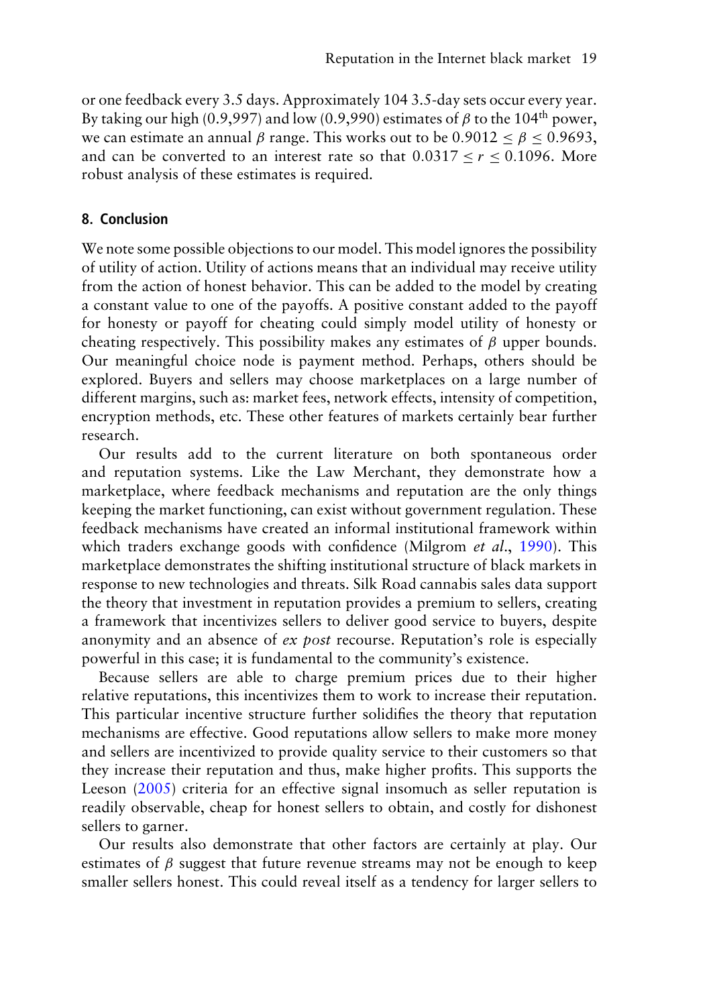or one feedback every 3.5 days. Approximately 104 3.5-day sets occur every year. By taking our high (0.9,997) and low (0.9,990) estimates of  $\beta$  to the 104<sup>th</sup> power, we can estimate an annual  $\beta$  range. This works out to be  $0.9012 \leq \beta \leq 0.9693$ , and can be converted to an interest rate so that  $0.0317 < r < 0.1096$ . More robust analysis of these estimates is required.

#### **8. Conclusion**

We note some possible objections to our model. This model ignores the possibility of utility of action. Utility of actions means that an individual may receive utility from the action of honest behavior. This can be added to the model by creating a constant value to one of the payoffs. A positive constant added to the payoff for honesty or payoff for cheating could simply model utility of honesty or cheating respectively. This possibility makes any estimates of *β* upper bounds. Our meaningful choice node is payment method. Perhaps, others should be explored. Buyers and sellers may choose marketplaces on a large number of different margins, such as: market fees, network effects, intensity of competition, encryption methods, etc. These other features of markets certainly bear further research.

Our results add to the current literature on both spontaneous order and reputation systems. Like the Law Merchant, they demonstrate how a marketplace, where feedback mechanisms and reputation are the only things keeping the market functioning, can exist without government regulation. These feedback mechanisms have created an informal institutional framework within which traders exchange goods with confidence (Milgrom *et al*., 1990). This marketplace demonstrates the shifting institutional structure of black markets in response to new technologies and threats. Silk Road cannabis sales data support the theory that investment in reputation provides a premium to sellers, creating a framework that incentivizes sellers to deliver good service to buyers, despite anonymity and an absence of *ex post* recourse. Reputation's role is especially powerful in this case; it is fundamental to the community's existence.

Because sellers are able to charge premium prices due to their higher relative reputations, this incentivizes them to work to increase their reputation. This particular incentive structure further solidifies the theory that reputation mechanisms are effective. Good reputations allow sellers to make more money and sellers are incentivized to provide quality service to their customers so that they increase their reputation and thus, make higher profits. This supports the Leeson (2005) criteria for an effective signal insomuch as seller reputation is readily observable, cheap for honest sellers to obtain, and costly for dishonest sellers to garner.

Our results also demonstrate that other factors are certainly at play. Our estimates of  $\beta$  suggest that future revenue streams may not be enough to keep smaller sellers honest. This could reveal itself as a tendency for larger sellers to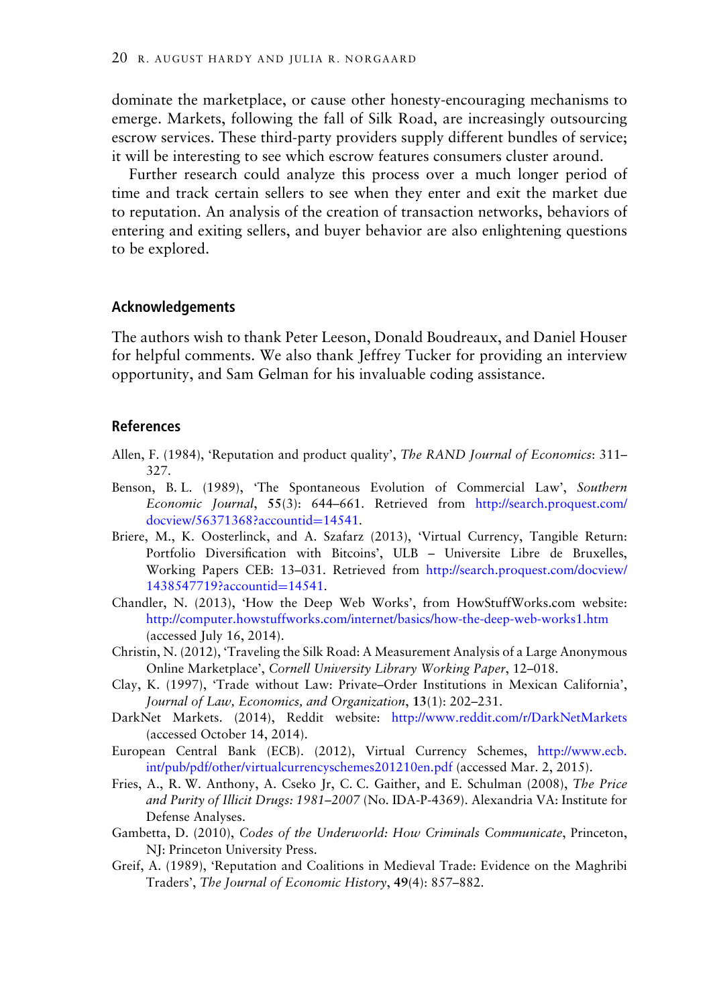dominate the marketplace, or cause other honesty-encouraging mechanisms to emerge. Markets, following the fall of Silk Road, are increasingly outsourcing escrow services. These third-party providers supply different bundles of service; it will be interesting to see which escrow features consumers cluster around.

Further research could analyze this process over a much longer period of time and track certain sellers to see when they enter and exit the market due to reputation. An analysis of the creation of transaction networks, behaviors of entering and exiting sellers, and buyer behavior are also enlightening questions to be explored.

#### **Acknowledgements**

The authors wish to thank Peter Leeson, Donald Boudreaux, and Daniel Houser for helpful comments. We also thank Jeffrey Tucker for providing an interview opportunity, and Sam Gelman for his invaluable coding assistance.

#### **References**

- Allen, F. (1984), 'Reputation and product quality', *The RAND Journal of Economics*: 311– 327.
- Benson, B. L. (1989), 'The Spontaneous Evolution of Commercial Law', *Southern Economic Journal*, **55**(3): 644–661. Retrieved from [http://search.proquest.com/](http://search.proquest.com/docview/56371368?accountid$=$14541) [docview/56371368?accountid](http://search.proquest.com/docview/56371368?accountid$=$14541)=14541.
- Briere, M., K. Oosterlinck, and A. Szafarz (2013), 'Virtual Currency, Tangible Return: Portfolio Diversification with Bitcoins', ULB – Universite Libre de Bruxelles, Working Papers CEB: 13–031. Retrieved from [http://search.proquest.com/docview/](http://search.proquest.com/docview/1438547719?accountid$=$14541) [1438547719?accountid](http://search.proquest.com/docview/1438547719?accountid$=$14541)=14541.
- Chandler, N. (2013), 'How the Deep Web Works', from HowStuffWorks.com website: <http://computer.howstuffworks.com/internet/basics/how-the-deep-web-works1.htm> (accessed July 16, 2014).
- Christin, N. (2012), 'Traveling the Silk Road: A Measurement Analysis of a Large Anonymous Online Marketplace', *Cornell University Library Working Paper*, 12–018.
- Clay, K. (1997), 'Trade without Law: Private–Order Institutions in Mexican California', *Journal of Law, Economics, and Organization*, **13**(1): 202–231.
- DarkNet Markets. (2014), Reddit website: <http://www.reddit.com/r/DarkNetMarkets> (accessed October 14, 2014).
- European Central Bank (ECB). (2012), Virtual Currency Schemes, [http://www.ecb.](http://www.ecb.int/pub/pdf/other/virtualcurrencyschemes201210en.pdf) [int/pub/pdf/other/virtualcurrencyschemes201210en.pdf](http://www.ecb.int/pub/pdf/other/virtualcurrencyschemes201210en.pdf) (accessed Mar. 2, 2015).
- Fries, A., R. W. Anthony, A. Cseko Jr, C. C. Gaither, and E. Schulman (2008), *The Price and Purity of Illicit Drugs: 1981–2007* (No. IDA-P-4369). Alexandria VA: Institute for Defense Analyses.
- Gambetta, D. (2010), *Codes of the Underworld: How Criminals Communicate*, Princeton, NJ: Princeton University Press.
- Greif, A. (1989), 'Reputation and Coalitions in Medieval Trade: Evidence on the Maghribi Traders', *The Journal of Economic History*, **49**(4): 857–882.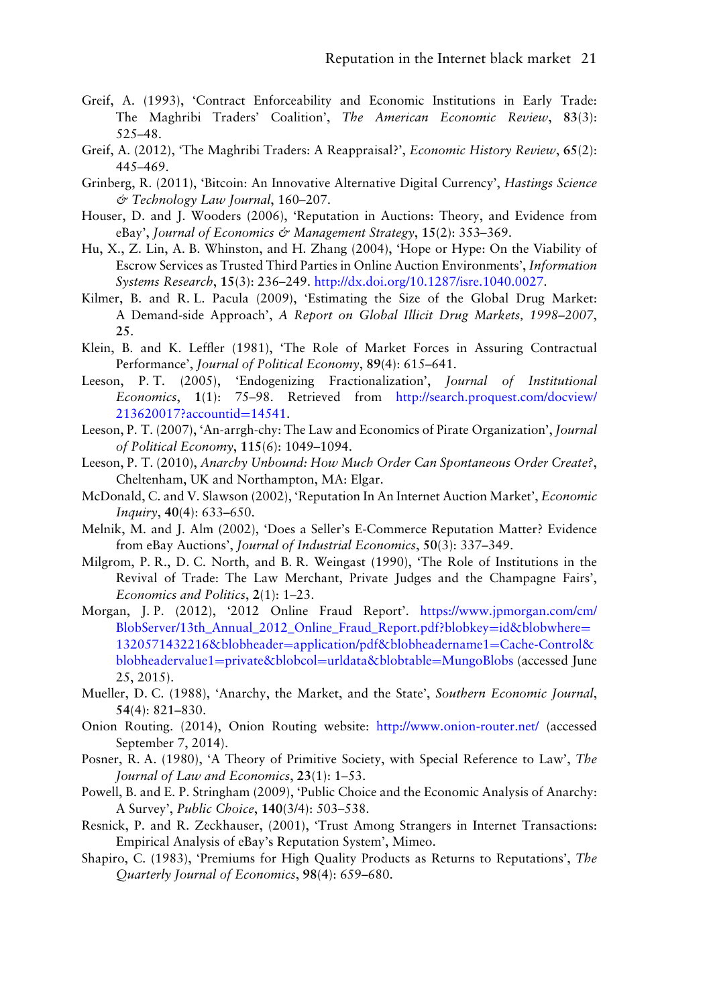- Greif, A. (1993), 'Contract Enforceability and Economic Institutions in Early Trade: The Maghribi Traders' Coalition', *The American Economic Review*, **83**(3): 525–48.
- Greif, A. (2012), 'The Maghribi Traders: A Reappraisal?', *Economic History Review*, **65**(2): 445–469.
- Grinberg, R. (2011), 'Bitcoin: An Innovative Alternative Digital Currency', *Hastings Science & Technology Law Journal*, 160–207.
- Houser, D. and J. Wooders (2006), 'Reputation in Auctions: Theory, and Evidence from eBay', *Journal of Economics & Management Strategy*, **15**(2): 353–369.
- Hu, X., Z. Lin, A. B. Whinston, and H. Zhang (2004), 'Hope or Hype: On the Viability of Escrow Services as Trusted Third Parties in Online Auction Environments', *Information Systems Research*, **15**(3): 236–249. [http://dx.doi.org/10.1287/isre.1040.0027.](http://dx.doi.org/10.1287/isre.1040.0027)
- Kilmer, B. and R. L. Pacula (2009), 'Estimating the Size of the Global Drug Market: A Demand-side Approach', *A Report on Global Illicit Drug Markets, 1998–2007*, **25**.
- Klein, B. and K. Leffler (1981), 'The Role of Market Forces in Assuring Contractual Performance', *Journal of Political Economy*, **89**(4): 615–641.
- Leeson, P. T. (2005), 'Endogenizing Fractionalization', *Journal of Institutional Economics*, **1**(1): 75–98. Retrieved from [http://search.proquest.com/docview/](http://search.proquest.com/docview/213620017{?}accountid$=$14541) [213620017?accountid](http://search.proquest.com/docview/213620017{?}accountid$=$14541)=14541.
- Leeson, P. T. (2007), 'An-arrgh-chy: The Law and Economics of Pirate Organization', *Journal of Political Economy*, **115**(6): 1049–1094.
- Leeson, P. T. (2010), *Anarchy Unbound: How Much Order Can Spontaneous Order Create?*, Cheltenham, UK and Northampton, MA: Elgar.
- McDonald, C. and V. Slawson (2002), 'Reputation In An Internet Auction Market', *Economic Inquiry*, **40**(4): 633–650.
- Melnik, M. and J. Alm (2002), 'Does a Seller's E-Commerce Reputation Matter? Evidence from eBay Auctions', *Journal of Industrial Economics*, **50**(3): 337–349.
- Milgrom, P. R., D. C. North, and B. R. Weingast (1990), 'The Role of Institutions in the Revival of Trade: The Law Merchant, Private Judges and the Champagne Fairs', *Economics and Politics*, **2**(1): 1–23.
- Morgan, J. P. (2012), '2012 Online Fraud Report'. [https://www.jpmorgan.com/cm/](https://www.jpmorgan.com/cm/BlobServer/13th_Annual_2012_Online_Fraud_Report.pdf{?}blobkey$=$id&blobwhere$=$1320571432216&blobheader$=$application/pdf&blobheadername1$=$Cache-Control&blobheadervalue1$=$private&blobcol$=$urldata&blobtable$=$MungoBlobs) [BlobServer/13th\\_Annual\\_2012\\_Online\\_Fraud\\_Report.pdf?blobkey](https://www.jpmorgan.com/cm/BlobServer/13th_Annual_2012_Online_Fraud_Report.pdf{?}blobkey$=$id&blobwhere$=$1320571432216&blobheader$=$application/pdf&blobheadername1$=$Cache-Control&blobheadervalue1$=$private&blobcol$=$urldata&blobtable$=$MungoBlobs)=id&blobwhere= 1320571432216&blobheader=[application/pdf&blobheadername1](https://www.jpmorgan.com/cm/BlobServer/13th_Annual_2012_Online_Fraud_Report.pdf{?}blobkey$=$id&blobwhere$=$1320571432216&blobheader$=$application/pdf&blobheadername1$=$Cache-Control&blobheadervalue1$=$private&blobcol$=$urldata&blobtable$=$MungoBlobs)=Cache-Control& blobheadervalue1=private&blobcol=[urldata&blobtable](https://www.jpmorgan.com/cm/BlobServer/13th_Annual_2012_Online_Fraud_Report.pdf{?}blobkey$=$id&blobwhere$=$1320571432216&blobheader$=$application/pdf&blobheadername1$=$Cache-Control&blobheadervalue1$=$private&blobcol$=$urldata&blobtable$=$MungoBlobs)=MungoBlobs (accessed June 25, 2015).
- Mueller, D. C. (1988), 'Anarchy, the Market, and the State', *Southern Economic Journal*, **54**(4): 821–830.
- Onion Routing. (2014), Onion Routing website: <http://www.onion-router.net/> (accessed September 7, 2014).
- Posner, R. A. (1980), 'A Theory of Primitive Society, with Special Reference to Law', *The Journal of Law and Economics*, **23**(1): 1–53.
- Powell, B. and E. P. Stringham (2009), 'Public Choice and the Economic Analysis of Anarchy: A Survey', *Public Choice*, **140**(3/4): 503–538.
- Resnick, P. and R. Zeckhauser, (2001), 'Trust Among Strangers in Internet Transactions: Empirical Analysis of eBay's Reputation System', Mimeo.
- Shapiro, C. (1983), 'Premiums for High Quality Products as Returns to Reputations', *The Quarterly Journal of Economics*, **98**(4): 659–680.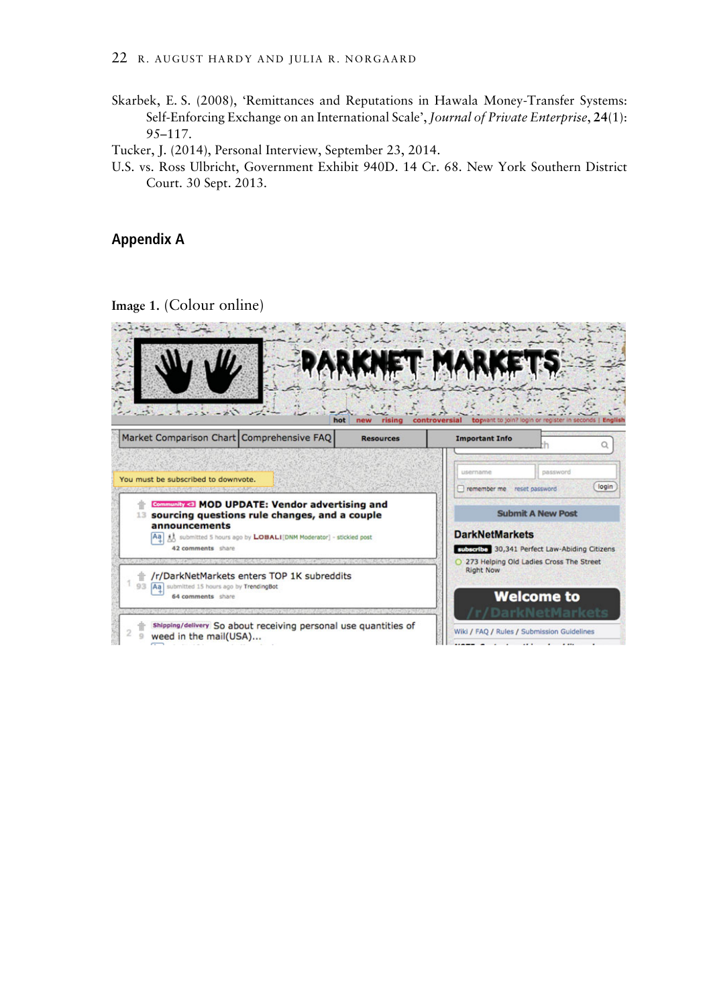- Skarbek, E. S. (2008), 'Remittances and Reputations in Hawala Money-Transfer Systems: Self-Enforcing Exchange on an International Scale', *Journal of Private Enterprise*, **24**(1): 95–117.
- Tucker, J. (2014), Personal Interview, September 23, 2014.
- U.S. vs. Ross Ulbricht, Government Exhibit 940D. 14 Cr. 68. New York Southern District Court. 30 Sept. 2013.

## **Appendix A**

**Image 1.** (Colour online)

| $\mathcal{L} = \mathcal{L} \mathcal{L} = \mathcal{L} \mathcal{L} = \mathcal{L} \mathcal{L} \mathcal{L} = \mathcal{L} \mathcal{L} \mathcal{L}$<br>hot<br>topwant to join? login or reg<br>risino<br>controversial<br>new   |                                                                                                    |                                                              |  |  |  |
|---------------------------------------------------------------------------------------------------------------------------------------------------------------------------------------------------------------------------|----------------------------------------------------------------------------------------------------|--------------------------------------------------------------|--|--|--|
| Market Comparison Chart Comprehensive FAQ<br><b>Resources</b>                                                                                                                                                             | <b>Important Info</b>                                                                              |                                                              |  |  |  |
| You must be subscribed to downvote.<br><b>THE REPORT OF BUILDING ACTIVITY AND LOCAL COMPANY</b>                                                                                                                           | username<br>remember me reset password                                                             | password<br>login                                            |  |  |  |
| <b>Community 43 MOD UPDATE: Vendor advertising and</b><br>13 sourcing questions rule changes, and a couple<br>announcements<br>Aq 13 submitted 5 hours ago by LOBALI [DNM Moderator] - stickled post<br>42 comments share | <b>Submit A New Post</b><br><b>DarkNetMarkets</b><br>subscribe 30,341 Perfect Law-Abiding Citizens |                                                              |  |  |  |
| /r/DarkNetMarkets enters TOP 1K subreddits<br>93<br>Aa submitted 15 hours ago by TrendingBot<br>64 comments share                                                                                                         | <b>Right Now</b>                                                                                   | 273 Helping Old Ladies Cross The Street<br><b>Welcome to</b> |  |  |  |
| Shipping/delivery So about receiving personal use quantities of<br>2<br>weed in the mail(USA)                                                                                                                             | Wiki / FAQ / Rules / Submission Guidelines                                                         |                                                              |  |  |  |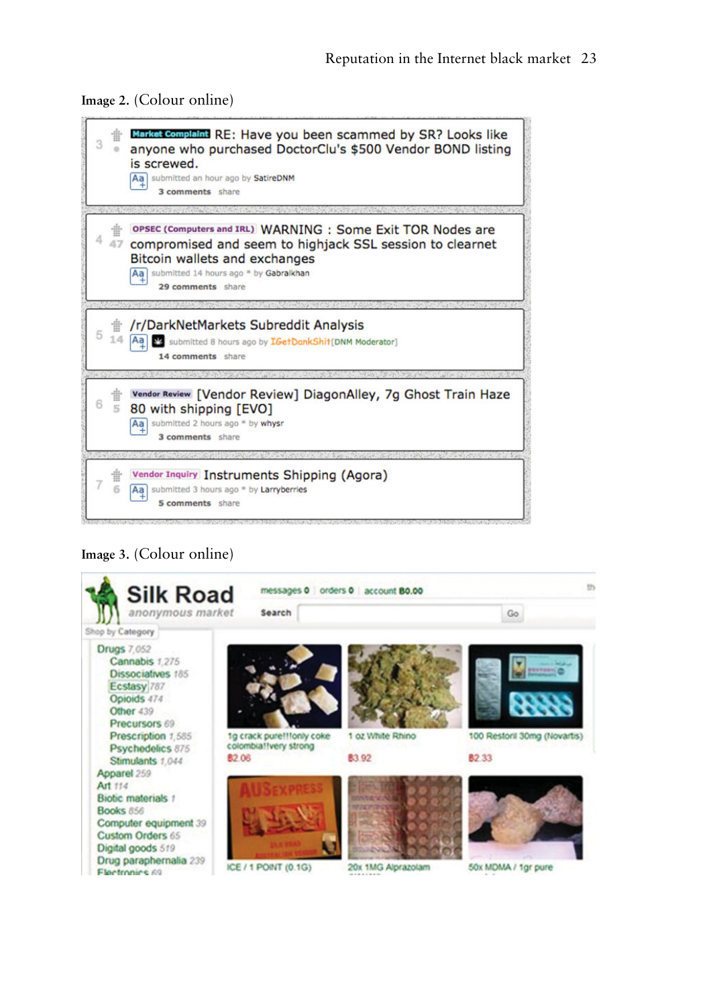**Image 2.** (Colour online)



## **Image 3.** (Colour online)

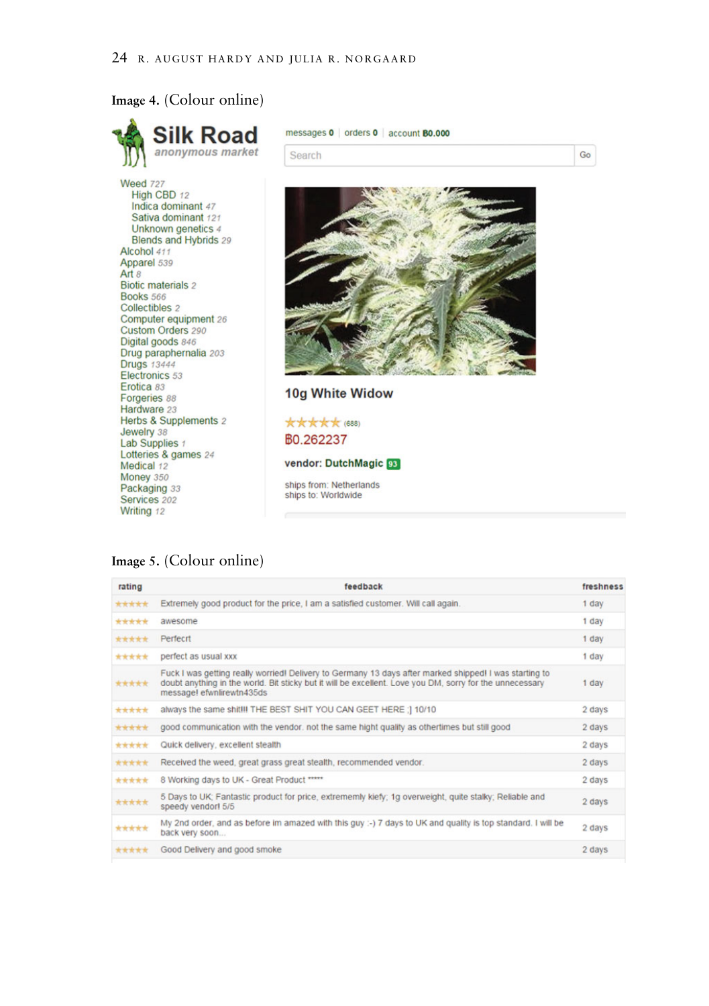## **Image 4.** (Colour online)

| <b>Silk Road</b><br>anonymous market                                                                                                                                                                                                                                                                                                                                                                                                                                                                                                                                        |
|-----------------------------------------------------------------------------------------------------------------------------------------------------------------------------------------------------------------------------------------------------------------------------------------------------------------------------------------------------------------------------------------------------------------------------------------------------------------------------------------------------------------------------------------------------------------------------|
| <b>Weed 727</b><br>High CBD 12<br>Indica dominant 47<br>Sativa dominant 121<br>Unknown genetics 4<br>Blends and Hybrids 29<br>Alcohol 411<br>Apparel 539<br>Art $8$<br><b>Biotic materials 2</b><br><b>Books 566</b><br>Collectibles 2<br>Computer equipment 26<br><b>Custom Orders 290</b><br>Digital goods 846<br>Drug paraphernalia 203<br><b>Drugs 13444</b><br>Electronics 53<br>Erotica 83<br>Forgeries 88<br>Hardware 23<br>Herbs & Supplements 2<br>Jewelry 38<br>Lab Supplies 1<br>Lotteries & games 24<br>Medical 12<br>Money 350<br>Packaging 33<br>Services 202 |
| Writing 12                                                                                                                                                                                                                                                                                                                                                                                                                                                                                                                                                                  |

messages 0 | orders 0 | account B0.000

Search



Go

10g White Widow

★★★★★ (688) B0.262237

vendor: DutchMagic 93

ships from: Netherlands<br>ships to: Worldwide

## **Image 5.** (Colour online)

| rating | feedback                                                                                                                                                                                                                                        | freshness |
|--------|-------------------------------------------------------------------------------------------------------------------------------------------------------------------------------------------------------------------------------------------------|-----------|
| *****  | Extremely good product for the price, I am a satisfied customer. Will call again.                                                                                                                                                               | 1 day     |
| *****  | awesome                                                                                                                                                                                                                                         | 1 day     |
| *****  | Perfecrt                                                                                                                                                                                                                                        | 1 day     |
| *****  | perfect as usual xxx                                                                                                                                                                                                                            | 1 day     |
| *****  | Fuck I was getting really worried! Delivery to Germany 13 days after marked shipped! I was starting to<br>doubt anything in the world. Bit sticky but it will be excellent. Love you DM, sorry for the unnecessary<br>message! efwnlirewtn435ds | 1 day     |
| *****  | always the same shit!!! THE BEST SHIT YOU CAN GEET HERE :] 10/10                                                                                                                                                                                | 2 days    |
| *****  | good communication with the vendor, not the same hight quality as othertimes but still good                                                                                                                                                     | 2 days    |
| *****  | Quick delivery, excellent stealth                                                                                                                                                                                                               | 2 days    |
| *****  | Received the weed, great grass great stealth, recommended vendor.                                                                                                                                                                               | 2 days    |
| *****  | 8 Working days to UK - Great Product *****                                                                                                                                                                                                      | 2 days    |
| *****  | 5 Days to UK; Fantastic product for price, extrememly kiefy; 1g overweight, quite stalky; Reliable and<br>speedy vendor! 5/5                                                                                                                    | 2 days    |
| *****  | My 2nd order, and as before im amazed with this guy :-) 7 days to UK and quality is top standard. I will be<br>back very soon                                                                                                                   | 2 days    |
| *****  | Good Delivery and good smoke                                                                                                                                                                                                                    | 2 days    |